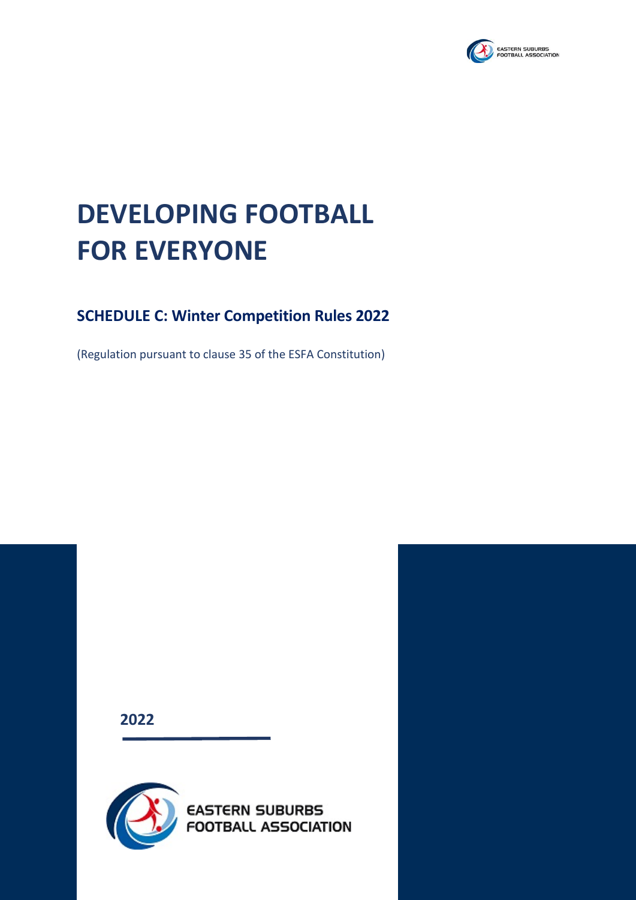

# **DEVELOPING FOOTBALL FOR EVERYONE**

# **SCHEDULE C: Winter Competition Rules 2022**

(Regulation pursuant to clause 35 of the ESFA Constitution)

**2022**



**www.esfa.com.au** ABN: 92 759 968 542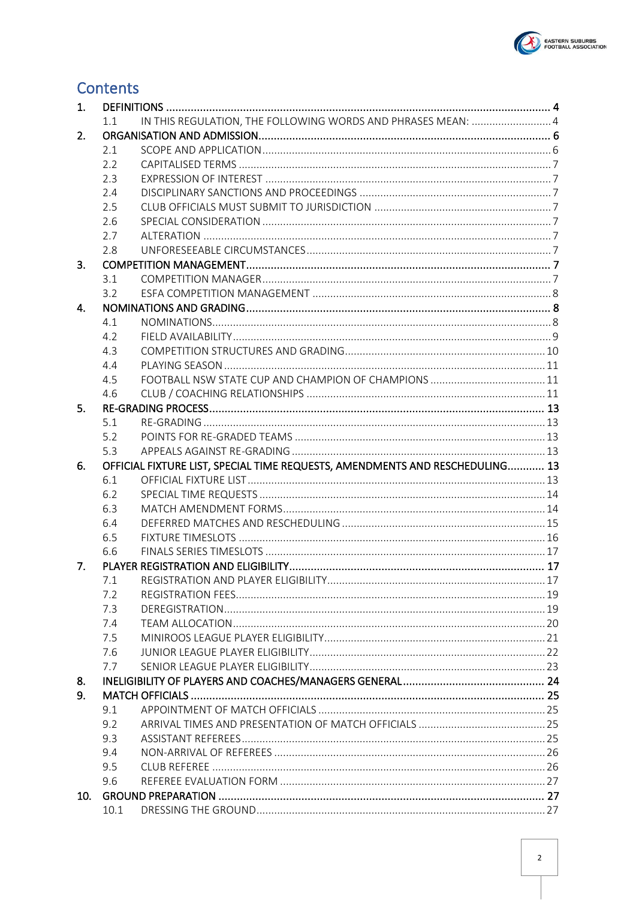

# **Contents**

| 1.  |      |                                                                              |  |
|-----|------|------------------------------------------------------------------------------|--|
|     | 1.1  | IN THIS REGULATION, THE FOLLOWING WORDS AND PHRASES MEAN:  4                 |  |
| 2.  |      |                                                                              |  |
|     | 2.1  |                                                                              |  |
|     | 2.2  |                                                                              |  |
|     | 2.3  |                                                                              |  |
|     | 2.4  |                                                                              |  |
|     | 2.5  |                                                                              |  |
|     | 2.6  |                                                                              |  |
|     | 2.7  |                                                                              |  |
|     | 2.8  |                                                                              |  |
| 3.  |      |                                                                              |  |
|     | 3.1  |                                                                              |  |
|     | 3.2  |                                                                              |  |
| 4.  |      |                                                                              |  |
|     | 4.1  |                                                                              |  |
|     | 4.2  |                                                                              |  |
|     | 4.3  |                                                                              |  |
|     | 4.4  |                                                                              |  |
|     | 4.5  |                                                                              |  |
|     | 4.6  |                                                                              |  |
| 5.  |      |                                                                              |  |
|     | 5.1  |                                                                              |  |
|     | 5.2  |                                                                              |  |
|     | 5.3  |                                                                              |  |
|     |      |                                                                              |  |
| 6.  |      | OFFICIAL FIXTURE LIST, SPECIAL TIME REQUESTS, AMENDMENTS AND RESCHEDULING 13 |  |
|     | 6.1  |                                                                              |  |
|     | 6.2  |                                                                              |  |
|     | 6.3  |                                                                              |  |
|     | 6.4  |                                                                              |  |
|     | 6.5  |                                                                              |  |
|     | 6.6  |                                                                              |  |
| 7.  |      |                                                                              |  |
|     | /1.1 |                                                                              |  |
|     | 7.2  |                                                                              |  |
|     | 7.3  |                                                                              |  |
|     | 7.4  |                                                                              |  |
|     | 7.5  |                                                                              |  |
|     | 7.6  |                                                                              |  |
|     | 7.7  |                                                                              |  |
| 8.  |      |                                                                              |  |
| 9.  |      |                                                                              |  |
|     | 9.1  |                                                                              |  |
|     | 9.2  |                                                                              |  |
|     | 9.3  |                                                                              |  |
|     | 9.4  |                                                                              |  |
|     | 9.5  |                                                                              |  |
|     | 9.6  |                                                                              |  |
| 10. |      |                                                                              |  |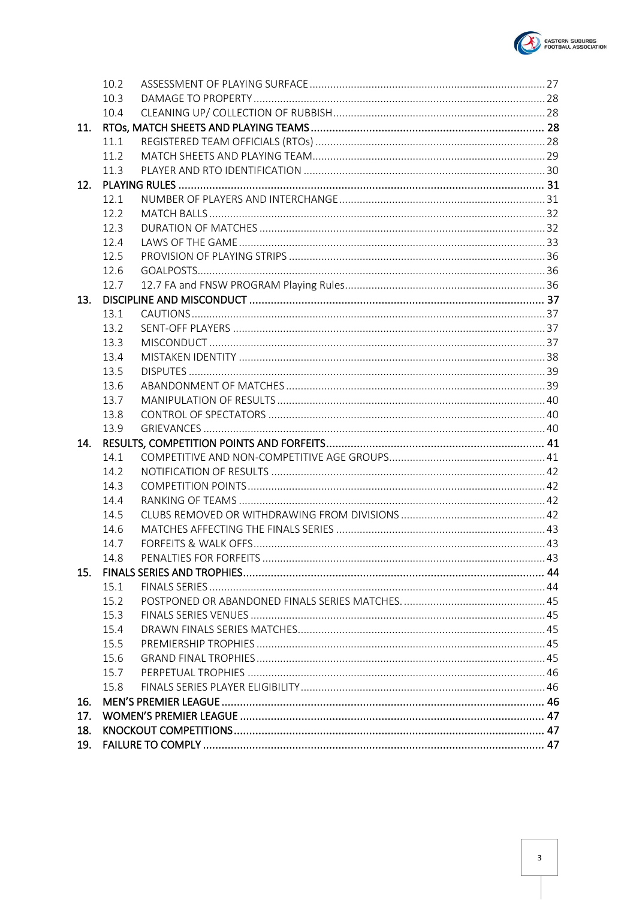

|     | 10.2 |  |
|-----|------|--|
|     | 10.3 |  |
|     | 10.4 |  |
| 11. |      |  |
|     | 11.1 |  |
|     | 11.2 |  |
|     | 11.3 |  |
| 12. |      |  |
|     | 12.1 |  |
|     | 12.2 |  |
|     | 12.3 |  |
|     | 12.4 |  |
|     | 12.5 |  |
|     | 12.6 |  |
|     | 12.7 |  |
| 13. |      |  |
|     | 13.1 |  |
|     | 13.2 |  |
|     | 13.3 |  |
|     | 13.4 |  |
|     | 13.5 |  |
|     | 13.6 |  |
|     | 13.7 |  |
|     | 13.8 |  |
| 14. | 13.9 |  |
|     | 14.1 |  |
|     | 14.2 |  |
|     | 14.3 |  |
|     |      |  |
|     |      |  |
|     | 14.4 |  |
|     | 14.5 |  |
|     | 14.6 |  |
|     | 14.7 |  |
|     | 14.8 |  |
| 15. | 15.1 |  |
|     | 15.2 |  |
|     | 15.3 |  |
|     | 15.4 |  |
|     | 15.5 |  |
|     | 15.6 |  |
|     | 15.7 |  |
|     | 15.8 |  |
| 16. |      |  |
| 17. |      |  |
| 18. |      |  |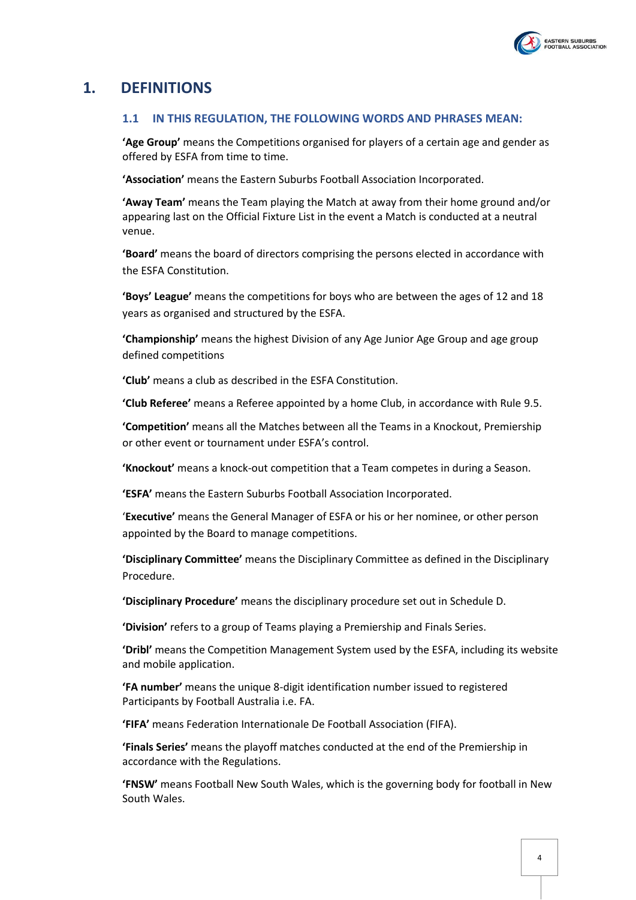

# <span id="page-3-1"></span><span id="page-3-0"></span>**1. DEFINITIONS**

#### **1.1 IN THIS REGULATION, THE FOLLOWING WORDS AND PHRASES MEAN:**

**'Age Group'** means the Competitions organised for players of a certain age and gender as offered by ESFA from time to time.

**'Association'** means the Eastern Suburbs Football Association Incorporated.

**'Away Team'** means the Team playing the Match at away from their home ground and/or appearing last on the Official Fixture List in the event a Match is conducted at a neutral venue.

**'Board'** means the board of directors comprising the persons elected in accordance with the ESFA Constitution.

**'Boys' League'** means the competitions for boys who are between the ages of 12 and 18 years as organised and structured by the ESFA.

**'Championship'** means the highest Division of any Age Junior Age Group and age group defined competitions

**'Club'** means a club as described in the ESFA Constitution.

**'Club Referee'** means a Referee appointed by a home Club, in accordance with Rul[e 9.5.](#page-25-1)

**'Competition'** means all the Matches between all the Teams in a Knockout, Premiership or other event or tournament under ESFA's control.

**'Knockout'** means a knock-out competition that a Team competes in during a Season.

**'ESFA'** means the Eastern Suburbs Football Association Incorporated.

'**Executive'** means the General Manager of ESFA or his or her nominee, or other person appointed by the Board to manage competitions.

**'Disciplinary Committee'** means the Disciplinary Committee as defined in the Disciplinary Procedure.

**'Disciplinary Procedure'** means the disciplinary procedure set out in Schedule D.

**'Division'** refers to a group of Teams playing a Premiership and Finals Series.

**'Dribl'** means the Competition Management System used by the ESFA, including its website and mobile application.

**'FA number'** means the unique 8-digit identification number issued to registered Participants by Football Australia i.e. FA.

**'FIFA'** means Federation Internationale De Football Association (FIFA).

**'Finals Series'** means the playoff matches conducted at the end of the Premiership in accordance with the Regulations.

**'FNSW'** means Football New South Wales, which is the governing body for football in New South Wales.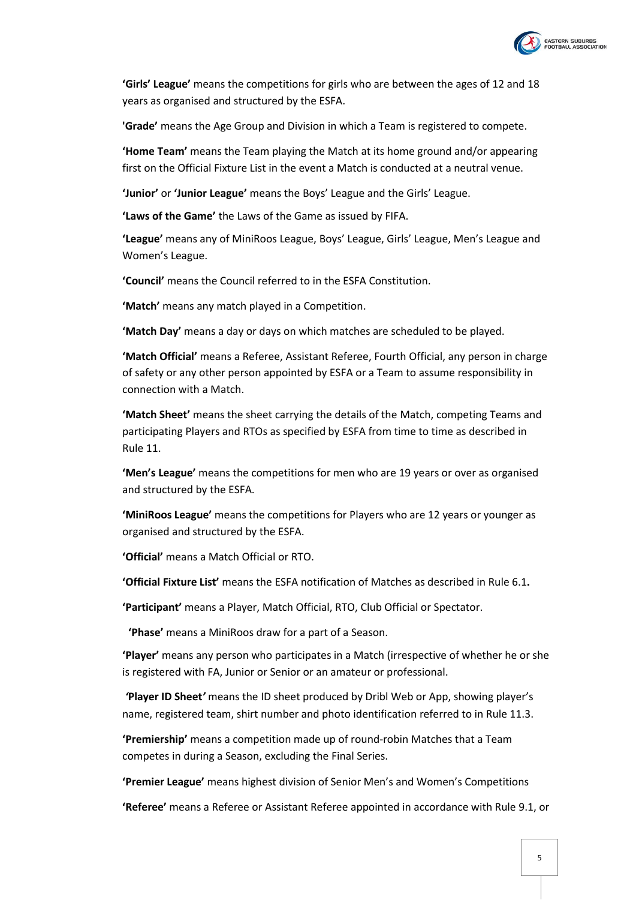

**'Girls' League'** means the competitions for girls who are between the ages of 12 and 18 years as organised and structured by the ESFA.

**'Grade'** means the Age Group and Division in which a Team is registered to compete.

**'Home Team'** means the Team playing the Match at its home ground and/or appearing first on the Official Fixture List in the event a Match is conducted at a neutral venue.

**'Junior'** or **'Junior League'** means the Boys' League and the Girls' League.

**'Laws of the Game'** the Laws of the Game as issued by FIFA.

**'League'** means any of MiniRoos League, Boys' League, Girls' League, Men's League and Women's League.

**'Council'** means the Council referred to in the ESFA Constitution.

**'Match'** means any match played in a Competition.

**'Match Day'** means a day or days on which matches are scheduled to be played.

**'Match Official'** means a Referee, Assistant Referee, Fourth Official, any person in charge of safety or any other person appointed by ESFA or a Team to assume responsibility in connection with a Match.

**'Match Sheet'** means the sheet carrying the details of the Match, competing Teams and participating Players and RTOs as specified by ESFA from time to time as described in Rule [11.](#page-27-2)

**'Men's League'** means the competitions for men who are 19 years or over as organised and structured by the ESFA.

**'MiniRoos League'** means the competitions for Players who are 12 years or younger as organised and structured by the ESFA.

**'Official'** means a Match Official or RTO.

**'Official Fixture List'** means the ESFA notification of Matches as described in Rule [6.1](#page-12-5)**.**

**'Participant'** means a Player, Match Official, RTO, Club Official or Spectator.

**'Phase'** means a MiniRoos draw for a part of a Season.

**'Player'** means any person who participates in a Match (irrespective of whether he or she is registered with FA, Junior or Senior or an amateur or professional.

*'***Player ID Sheet***'* means the ID sheet produced by Dribl Web or App, showing player's name, registered team, shirt number and photo identification referred to in Rul[e 11.3.](#page-29-0)

**'Premiership'** means a competition made up of round-robin Matches that a Team competes in during a Season, excluding the Final Series.

**'Premier League'** means highest division of Senior Men's and Women's Competitions

**'Referee'** means a Referee or Assistant Referee appointed in accordance with Rule [9.1,](#page-24-1) or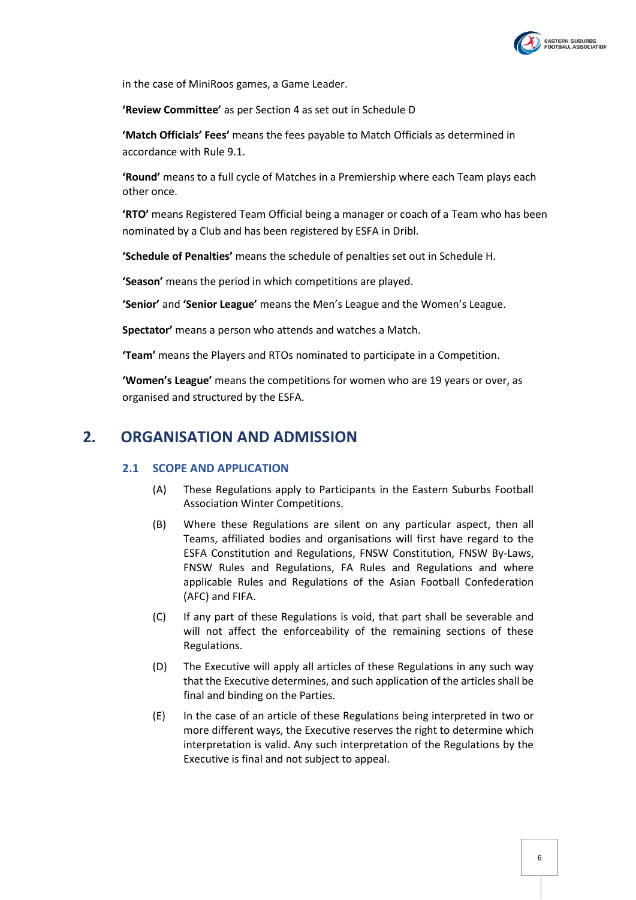

in the case of MiniRoos games, a Game Leader.

**'Review Committee'** as per Section 4 as set out in Schedule D

**'Match Officials' Fees'** means the fees payable to Match Officials as determined in accordance with Rule [9.1.](#page-24-1)

**'Round'** means to a full cycle of Matches in a Premiership where each Team plays each other once.

**'RTO'** means Registered Team Official being a manager or coach of a Team who has been nominated by a Club and has been registered by ESFA in Dribl.

**'Schedule of Penalties'** means the schedule of penalties set out in Schedule H.

**'Season'** means the period in which competitions are played.

**'Senior'** and **'Senior League'** means the Men's League and the Women's League.

**Spectator'** means a person who attends and watches a Match.

**'Team'** means the Players and RTOs nominated to participate in a Competition.

**'Women's League'** means the competitions for women who are 19 years or over, as organised and structured by the ESFA.

# <span id="page-5-1"></span><span id="page-5-0"></span>**2. ORGANISATION AND ADMISSION**

#### **2.1 SCOPE AND APPLICATION**

- (A) These Regulations apply to Participants in the Eastern Suburbs Football Association Winter Competitions.
- (B) Where these Regulations are silent on any particular aspect, then all Teams, affiliated bodies and organisations will first have regard to the ESFA Constitution and Regulations, FNSW Constitution, FNSW By-Laws, FNSW Rules and Regulations, FA Rules and Regulations and where applicable Rules and Regulations of the Asian Football Confederation (AFC) and FIFA.
- (C) If any part of these Regulations is void, that part shall be severable and will not affect the enforceability of the remaining sections of these Regulations.
- (D) The Executive will apply all articles of these Regulations in any such way that the Executive determines, and such application of the articles shall be final and binding on the Parties.
- (E) In the case of an article of these Regulations being interpreted in two or more different ways, the Executive reserves the right to determine which interpretation is valid. Any such interpretation of the Regulations by the Executive is final and not subject to appeal.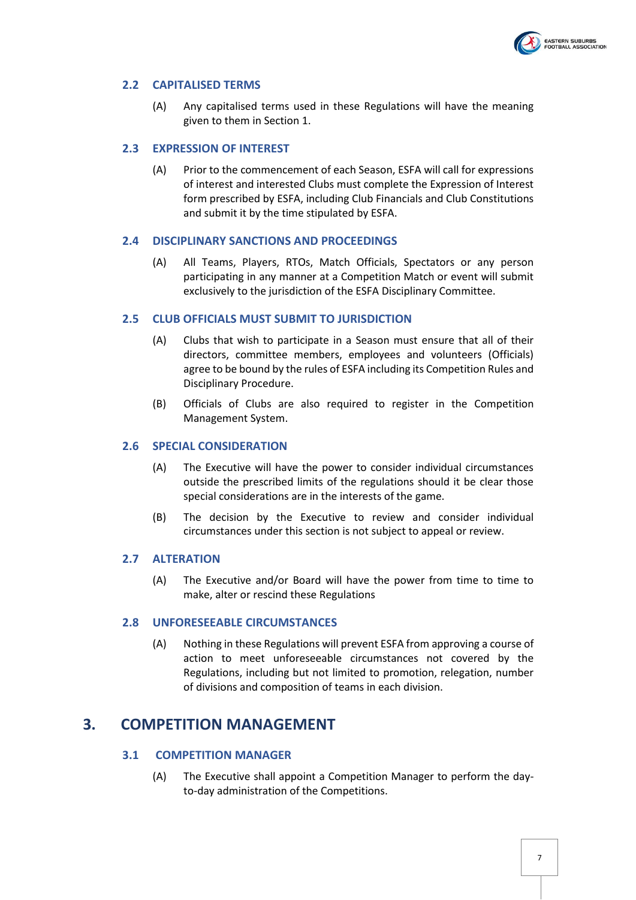

#### <span id="page-6-0"></span>**2.2 CAPITALISED TERMS**

(A) Any capitalised terms used in these Regulations will have the meaning given to them in Sectio[n 1.](#page-3-0)

#### <span id="page-6-1"></span>**2.3 EXPRESSION OF INTEREST**

(A) Prior to the commencement of each Season, ESFA will call for expressions of interest and interested Clubs must complete the Expression of Interest form prescribed by ESFA, including Club Financials and Club Constitutions and submit it by the time stipulated by ESFA.

#### <span id="page-6-2"></span>**2.4 DISCIPLINARY SANCTIONS AND PROCEEDINGS**

(A) All Teams, Players, RTOs, Match Officials, Spectators or any person participating in any manner at a Competition Match or event will submit exclusively to the jurisdiction of the ESFA Disciplinary Committee.

#### <span id="page-6-3"></span>**2.5 CLUB OFFICIALS MUST SUBMIT TO JURISDICTION**

- (A) Clubs that wish to participate in a Season must ensure that all of their directors, committee members, employees and volunteers (Officials) agree to be bound by the rules of ESFA including its Competition Rules and Disciplinary Procedure.
- (B) Officials of Clubs are also required to register in the Competition Management System.

#### <span id="page-6-4"></span>**2.6 SPECIAL CONSIDERATION**

- (A) The Executive will have the power to consider individual circumstances outside the prescribed limits of the regulations should it be clear those special considerations are in the interests of the game.
- (B) The decision by the Executive to review and consider individual circumstances under this section is not subject to appeal or review.

#### <span id="page-6-5"></span>**2.7 ALTERATION**

(A) The Executive and/or Board will have the power from time to time to make, alter or rescind these Regulations

#### <span id="page-6-6"></span>**2.8 UNFORESEEABLE CIRCUMSTANCES**

(A) Nothing in these Regulations will prevent ESFA from approving a course of action to meet unforeseeable circumstances not covered by the Regulations, including but not limited to promotion, relegation, number of divisions and composition of teams in each division.

### <span id="page-6-7"></span>**3. COMPETITION MANAGEMENT**

#### <span id="page-6-8"></span>**3.1 COMPETITION MANAGER**

(A) The Executive shall appoint a Competition Manager to perform the dayto-day administration of the Competitions.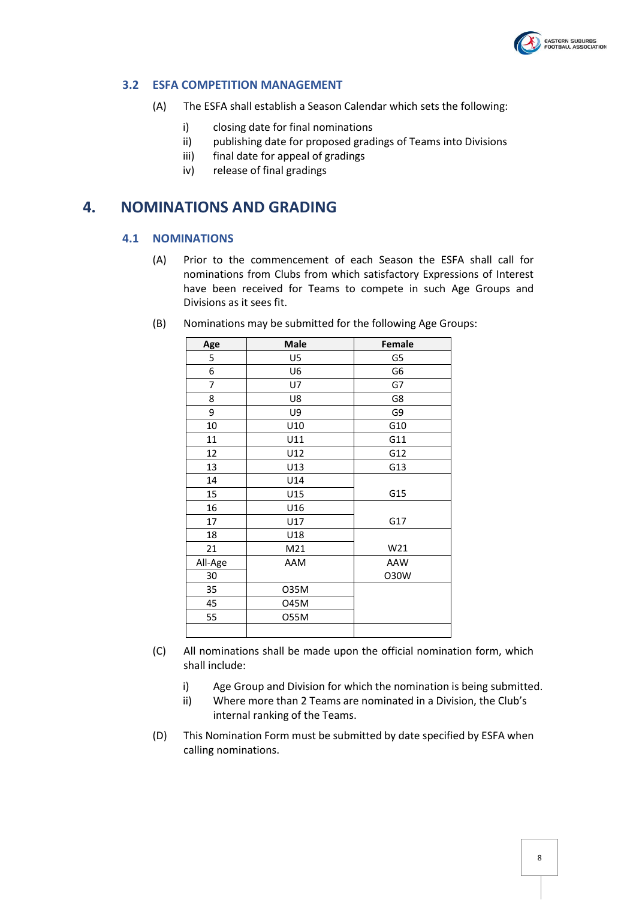

#### <span id="page-7-0"></span>**3.2 ESFA COMPETITION MANAGEMENT**

- (A) The ESFA shall establish a Season Calendar which sets the following:
	- i) closing date for final nominations
	- ii) publishing date for proposed gradings of Teams into Divisions
	- iii) final date for appeal of gradings
	- iv) release of final gradings

# <span id="page-7-2"></span><span id="page-7-1"></span>**4. NOMINATIONS AND GRADING**

#### **4.1 NOMINATIONS**

(A) Prior to the commencement of each Season the ESFA shall call for nominations from Clubs from which satisfactory Expressions of Interest have been received for Teams to compete in such Age Groups and Divisions as it sees fit.

| Age     | <b>Male</b> | Female |
|---------|-------------|--------|
| 5       | U5          | G5     |
| 6       | U6          | G6     |
| 7       | U7          | G7     |
| 8       | U8          | G8     |
| 9       | U9          | G9     |
| 10      | U10         | G10    |
| 11      | U11         | G11    |
| 12      | U12         | G12    |
| 13      | U13         | G13    |
| 14      | U14         |        |
| 15      | U15         | G15    |
| 16      | U16         |        |
| 17      | U17         | G17    |
| 18      | U18         |        |
| 21      | M21         | W21    |
| All-Age | AAM         | AAW    |
| 30      |             | O30W   |
| 35      | 035M        |        |
| 45      | 045M        |        |
| 55      | 055M        |        |
|         |             |        |

(B) Nominations may be submitted for the following Age Groups:

- (C) All nominations shall be made upon the official nomination form, which shall include:
	- i) Age Group and Division for which the nomination is being submitted.
	- ii) Where more than 2 Teams are nominated in a Division, the Club's internal ranking of the Teams.
- (D) This Nomination Form must be submitted by date specified by ESFA when calling nominations.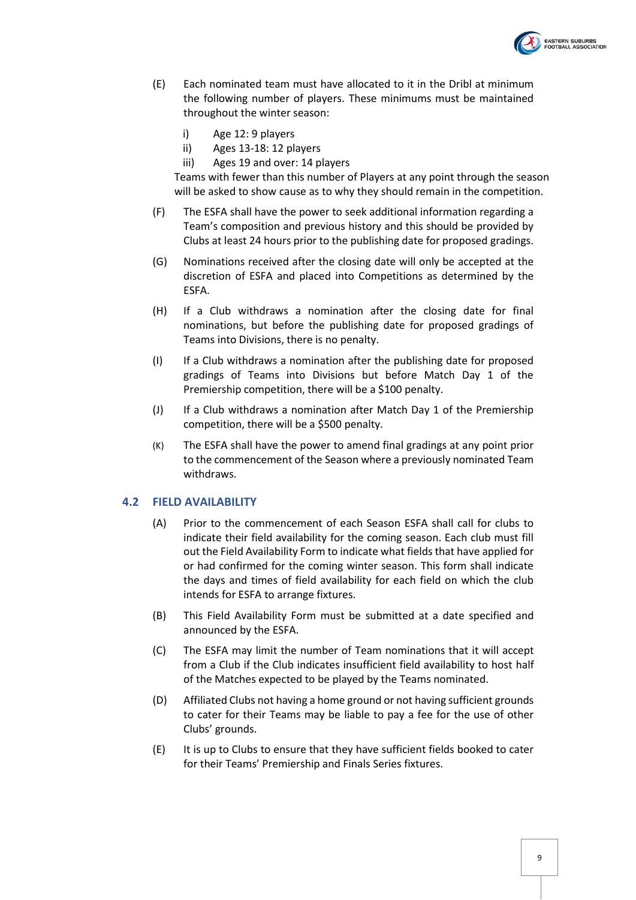

- (E) Each nominated team must have allocated to it in the Dribl at minimum the following number of players. These minimums must be maintained throughout the winter season:
	- i) Age 12: 9 players
	- ii) Ages 13-18: 12 players
	- iii) Ages 19 and over: 14 players

Teams with fewer than this number of Players at any point through the season will be asked to show cause as to why they should remain in the competition.

- (F) The ESFA shall have the power to seek additional information regarding a Team's composition and previous history and this should be provided by Clubs at least 24 hours prior to the publishing date for proposed gradings.
- (G) Nominations received after the closing date will only be accepted at the discretion of ESFA and placed into Competitions as determined by the ESFA.
- (H) If a Club withdraws a nomination after the closing date for final nominations, but before the publishing date for proposed gradings of Teams into Divisions, there is no penalty.
- <span id="page-8-1"></span>(I) If a Club withdraws a nomination after the publishing date for proposed gradings of Teams into Divisions but before Match Day 1 of the Premiership competition, there will be a \$100 penalty.
- <span id="page-8-2"></span>(J) If a Club withdraws a nomination after Match Day 1 of the Premiership competition, there will be a \$500 penalty.
- (K) The ESFA shall have the power to amend final gradings at any point prior to the commencement of the Season where a previously nominated Team withdraws.

#### <span id="page-8-0"></span>**4.2 FIELD AVAILABILITY**

- (A) Prior to the commencement of each Season ESFA shall call for clubs to indicate their field availability for the coming season. Each club must fill out the Field Availability Form to indicate what fields that have applied for or had confirmed for the coming winter season. This form shall indicate the days and times of field availability for each field on which the club intends for ESFA to arrange fixtures.
- (B) This Field Availability Form must be submitted at a date specified and announced by the ESFA.
- (C) The ESFA may limit the number of Team nominations that it will accept from a Club if the Club indicates insufficient field availability to host half of the Matches expected to be played by the Teams nominated.
- (D) Affiliated Clubs not having a home ground or not having sufficient grounds to cater for their Teams may be liable to pay a fee for the use of other Clubs' grounds.
- (E) It is up to Clubs to ensure that they have sufficient fields booked to cater for their Teams' Premiership and Finals Series fixtures.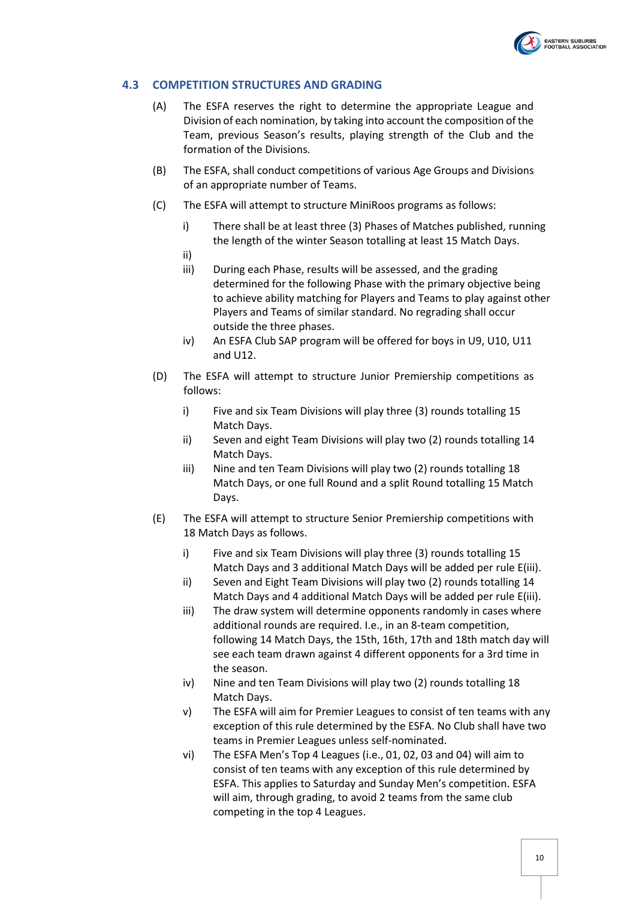

#### <span id="page-9-0"></span>**4.3 COMPETITION STRUCTURES AND GRADING**

- (A) The ESFA reserves the right to determine the appropriate League and Division of each nomination, by taking into account the composition of the Team, previous Season's results, playing strength of the Club and the formation of the Divisions.
- (B) The ESFA, shall conduct competitions of various Age Groups and Divisions of an appropriate number of Teams.
- (C) The ESFA will attempt to structure MiniRoos programs as follows:
	- i) There shall be at least three (3) Phases of Matches published, running the length of the winter Season totalling at least 15 Match Days.
	- ii)
	- iii) During each Phase, results will be assessed, and the grading determined for the following Phase with the primary objective being to achieve ability matching for Players and Teams to play against other Players and Teams of similar standard. No regrading shall occur outside the three phases.
	- iv) An ESFA Club SAP program will be offered for boys in U9, U10, U11 and U12.
- (D) The ESFA will attempt to structure Junior Premiership competitions as follows:
	- i) Five and six Team Divisions will play three (3) rounds totalling 15 Match Days.
	- ii) Seven and eight Team Divisions will play two (2) rounds totalling 14 Match Days.
	- iii) Nine and ten Team Divisions will play two (2) rounds totalling 18 Match Days, or one full Round and a split Round totalling 15 Match Days.
- (E) The ESFA will attempt to structure Senior Premiership competitions with 18 Match Days as follows.
	- i) Five and six Team Divisions will play three (3) rounds totalling 15 Match Days and 3 additional Match Days will be added per rule E(iii).
	- ii) Seven and Eight Team Divisions will play two (2) rounds totalling 14 Match Days and 4 additional Match Days will be added per rule E(iii).
	- iii) The draw system will determine opponents randomly in cases where additional rounds are required. I.e., in an 8-team competition, following 14 Match Days, the 15th, 16th, 17th and 18th match day will see each team drawn against 4 different opponents for a 3rd time in the season.
	- iv) Nine and ten Team Divisions will play two (2) rounds totalling 18 Match Days.
	- v) The ESFA will aim for Premier Leagues to consist of ten teams with any exception of this rule determined by the ESFA. No Club shall have two teams in Premier Leagues unless self-nominated.
	- vi) The ESFA Men's Top 4 Leagues (i.e., 01, 02, 03 and 04) will aim to consist of ten teams with any exception of this rule determined by ESFA. This applies to Saturday and Sunday Men's competition. ESFA will aim, through grading, to avoid 2 teams from the same club competing in the top 4 Leagues.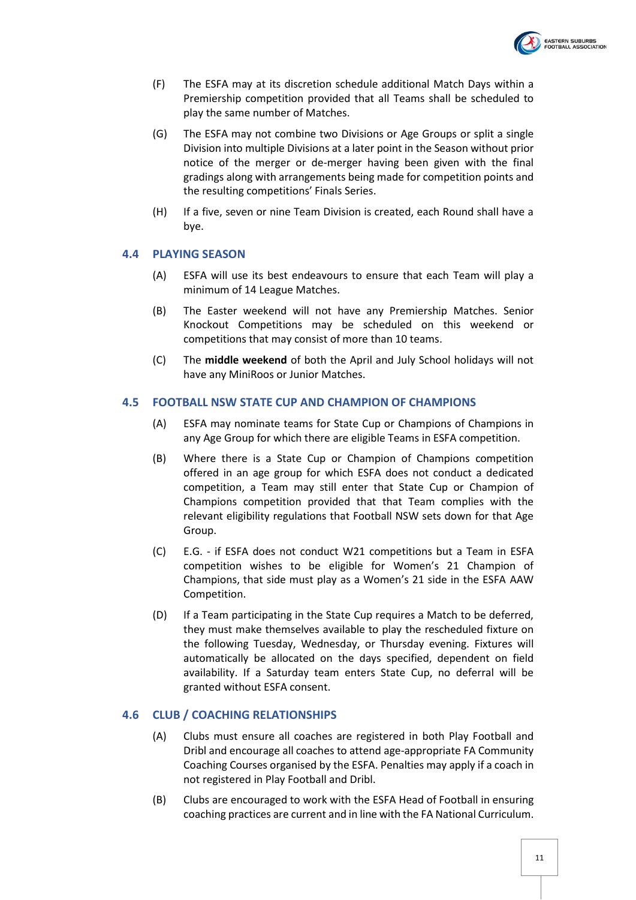

- (F) The ESFA may at its discretion schedule additional Match Days within a Premiership competition provided that all Teams shall be scheduled to play the same number of Matches.
- (G) The ESFA may not combine two Divisions or Age Groups or split a single Division into multiple Divisions at a later point in the Season without prior notice of the merger or de-merger having been given with the final gradings along with arrangements being made for competition points and the resulting competitions' Finals Series.
- (H) If a five, seven or nine Team Division is created, each Round shall have a bye.

#### <span id="page-10-0"></span>**4.4 PLAYING SEASON**

- (A) ESFA will use its best endeavours to ensure that each Team will play a minimum of 14 League Matches.
- (B) The Easter weekend will not have any Premiership Matches. Senior Knockout Competitions may be scheduled on this weekend or competitions that may consist of more than 10 teams.
- (C) The **middle weekend** of both the April and July School holidays will not have any MiniRoos or Junior Matches.

#### <span id="page-10-1"></span>**4.5 FOOTBALL NSW STATE CUP AND CHAMPION OF CHAMPIONS**

- (A) ESFA may nominate teams for State Cup or Champions of Champions in any Age Group for which there are eligible Teams in ESFA competition.
- (B) Where there is a State Cup or Champion of Champions competition offered in an age group for which ESFA does not conduct a dedicated competition, a Team may still enter that State Cup or Champion of Champions competition provided that that Team complies with the relevant eligibility regulations that Football NSW sets down for that Age Group.
- (C) E.G. if ESFA does not conduct W21 competitions but a Team in ESFA competition wishes to be eligible for Women's 21 Champion of Champions, that side must play as a Women's 21 side in the ESFA AAW Competition.
- (D) If a Team participating in the State Cup requires a Match to be deferred, they must make themselves available to play the rescheduled fixture on the following Tuesday, Wednesday, or Thursday evening. Fixtures will automatically be allocated on the days specified, dependent on field availability. If a Saturday team enters State Cup, no deferral will be granted without ESFA consent.

#### <span id="page-10-2"></span>**4.6 CLUB / COACHING RELATIONSHIPS**

- (A) Clubs must ensure all coaches are registered in both Play Football and Dribl and encourage all coaches to attend age-appropriate FA Community Coaching Courses organised by the ESFA. Penalties may apply if a coach in not registered in Play Football and Dribl.
- (B) Clubs are encouraged to work with the ESFA Head of Football in ensuring coaching practices are current and in line with the FA National Curriculum.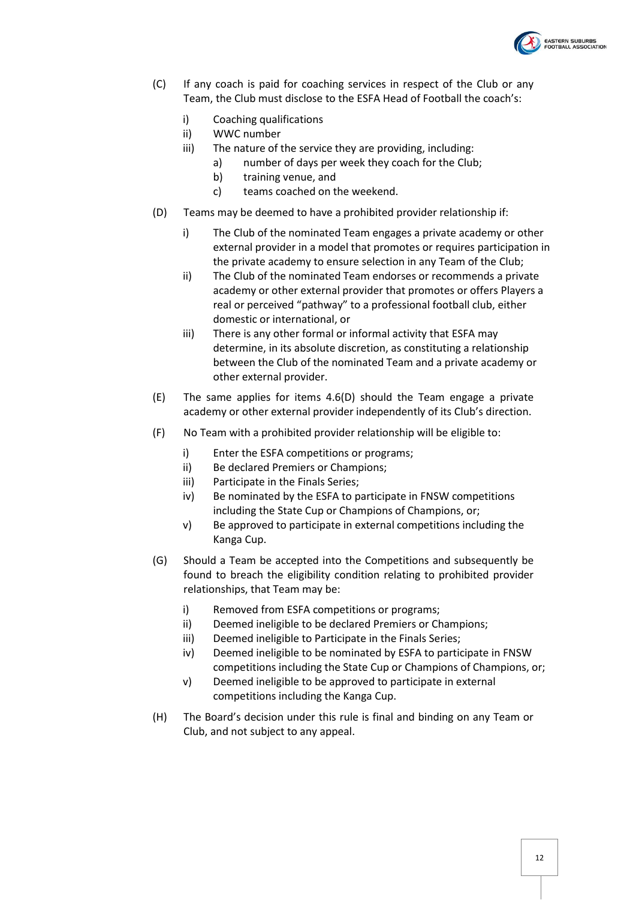

- (C) If any coach is paid for coaching services in respect of the Club or any Team, the Club must disclose to the ESFA Head of Football the coach's:
	- i) Coaching qualifications
	- ii) WWC number
	- iii) The nature of the service they are providing, including:
		- a) number of days per week they coach for the Club;
			- b) training venue, and
			- c) teams coached on the weekend.
- <span id="page-11-0"></span>(D) Teams may be deemed to have a prohibited provider relationship if:
	- i) The Club of the nominated Team engages a private academy or other external provider in a model that promotes or requires participation in the private academy to ensure selection in any Team of the Club;
	- ii) The Club of the nominated Team endorses or recommends a private academy or other external provider that promotes or offers Players a real or perceived "pathway" to a professional football club, either domestic or international, or
	- iii) There is any other formal or informal activity that ESFA may determine, in its absolute discretion, as constituting a relationship between the Club of the nominated Team and a private academy or other external provider.
- (E) The same applies for items [4.6\(D\)](#page-11-0) should the Team engage a private academy or other external provider independently of its Club's direction.
- (F) No Team with a prohibited provider relationship will be eligible to:
	- i) Enter the ESFA competitions or programs;
	- ii) Be declared Premiers or Champions;
	- iii) Participate in the Finals Series;
	- iv) Be nominated by the ESFA to participate in FNSW competitions including the State Cup or Champions of Champions, or;
	- v) Be approved to participate in external competitions including the Kanga Cup.
- (G) Should a Team be accepted into the Competitions and subsequently be found to breach the eligibility condition relating to prohibited provider relationships, that Team may be:
	- i) Removed from ESFA competitions or programs;
	- ii) Deemed ineligible to be declared Premiers or Champions;
	- iii) Deemed ineligible to Participate in the Finals Series;
	- iv) Deemed ineligible to be nominated by ESFA to participate in FNSW competitions including the State Cup or Champions of Champions, or;
	- v) Deemed ineligible to be approved to participate in external competitions including the Kanga Cup.
- (H) The Board's decision under this rule is final and binding on any Team or Club, and not subject to any appeal.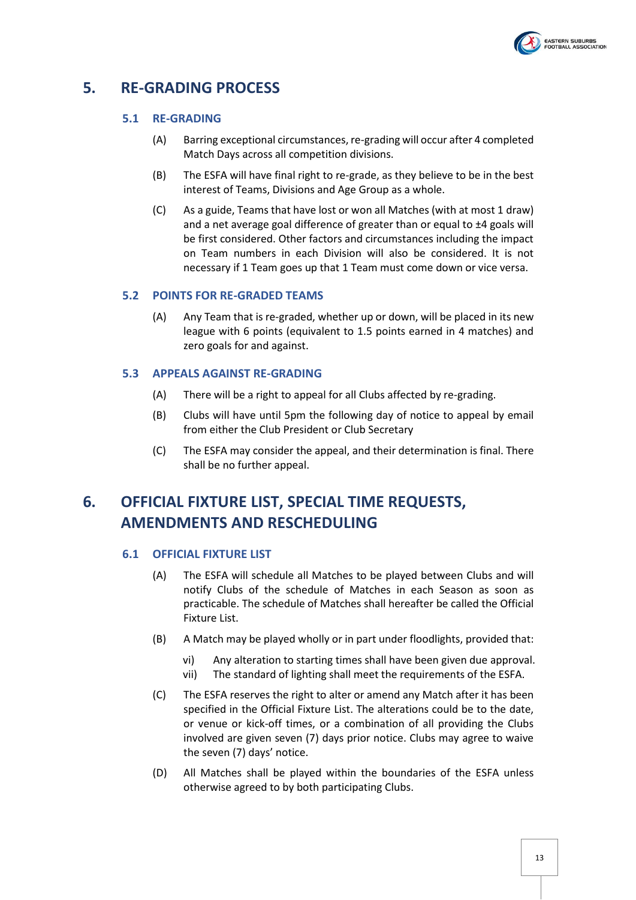

# <span id="page-12-1"></span><span id="page-12-0"></span>**5. RE-GRADING PROCESS**

#### **5.1 RE-GRADING**

- (A) Barring exceptional circumstances, re-grading will occur after 4 completed Match Days across all competition divisions.
- (B) The ESFA will have final right to re-grade, as they believe to be in the best interest of Teams, Divisions and Age Group as a whole.
- (C) As a guide, Teams that have lost or won all Matches (with at most 1 draw) and a net average goal difference of greater than or equal to ±4 goals will be first considered. Other factors and circumstances including the impact on Team numbers in each Division will also be considered. It is not necessary if 1 Team goes up that 1 Team must come down or vice versa.

#### <span id="page-12-2"></span>**5.2 POINTS FOR RE-GRADED TEAMS**

(A) Any Team that is re-graded, whether up or down, will be placed in its new league with 6 points (equivalent to 1.5 points earned in 4 matches) and zero goals for and against.

#### <span id="page-12-3"></span>**5.3 APPEALS AGAINST RE-GRADING**

- (A) There will be a right to appeal for all Clubs affected by re-grading.
- (B) Clubs will have until 5pm the following day of notice to appeal by email from either the Club President or Club Secretary
- (C) The ESFA may consider the appeal, and their determination is final. There shall be no further appeal.

# <span id="page-12-5"></span><span id="page-12-4"></span>**6. OFFICIAL FIXTURE LIST, SPECIAL TIME REQUESTS, AMENDMENTS AND RESCHEDULING**

#### **6.1 OFFICIAL FIXTURE LIST**

- (A) The ESFA will schedule all Matches to be played between Clubs and will notify Clubs of the schedule of Matches in each Season as soon as practicable. The schedule of Matches shall hereafter be called the Official Fixture List.
- (B) A Match may be played wholly or in part under floodlights, provided that:
	- vi) Any alteration to starting times shall have been given due approval.
	- vii) The standard of lighting shall meet the requirements of the ESFA.
- (C) The ESFA reserves the right to alter or amend any Match after it has been specified in the Official Fixture List. The alterations could be to the date, or venue or kick-off times, or a combination of all providing the Clubs involved are given seven (7) days prior notice. Clubs may agree to waive the seven (7) days' notice.
- (D) All Matches shall be played within the boundaries of the ESFA unless otherwise agreed to by both participating Clubs.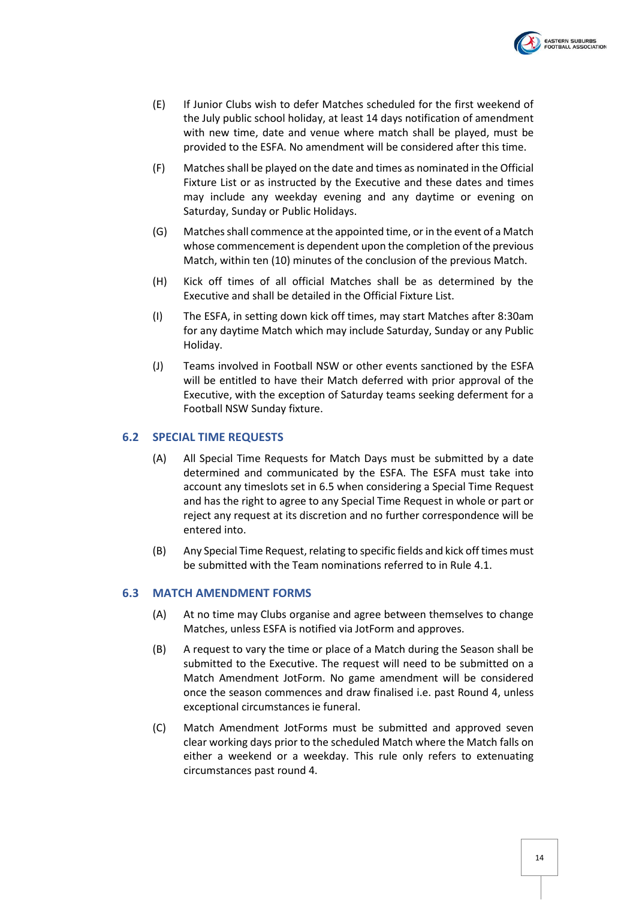

- (E) If Junior Clubs wish to defer Matches scheduled for the first weekend of the July public school holiday, at least 14 days notification of amendment with new time, date and venue where match shall be played, must be provided to the ESFA. No amendment will be considered after this time.
- (F) Matches shall be played on the date and times as nominated in the Official Fixture List or as instructed by the Executive and these dates and times may include any weekday evening and any daytime or evening on Saturday, Sunday or Public Holidays.
- (G) Matches shall commence at the appointed time, or in the event of a Match whose commencement is dependent upon the completion of the previous Match, within ten (10) minutes of the conclusion of the previous Match.
- (H) Kick off times of all official Matches shall be as determined by the Executive and shall be detailed in the Official Fixture List.
- (I) The ESFA, in setting down kick off times, may start Matches after 8:30am for any daytime Match which may include Saturday, Sunday or any Public Holiday.
- (J) Teams involved in Football NSW or other events sanctioned by the ESFA will be entitled to have their Match deferred with prior approval of the Executive, with the exception of Saturday teams seeking deferment for a Football NSW Sunday fixture.

#### <span id="page-13-0"></span>**6.2 SPECIAL TIME REQUESTS**

- (A) All Special Time Requests for Match Days must be submitted by a date determined and communicated by the ESFA. The ESFA must take into account any timeslots set in [6.5](#page-15-0) when considering a Special Time Request and has the right to agree to any Special Time Request in whole or part or reject any request at its discretion and no further correspondence will be entered into.
- (B) Any Special Time Request, relating to specific fields and kick off times must be submitted with the Team nominations referred to in Rule [4.1.](#page-7-2)

#### <span id="page-13-1"></span>**6.3 MATCH AMENDMENT FORMS**

- (A) At no time may Clubs organise and agree between themselves to change Matches, unless ESFA is notified via JotForm and approves.
- (B) A request to vary the time or place of a Match during the Season shall be submitted to the Executive. The request will need to be submitted on a Match Amendment JotForm. No game amendment will be considered once the season commences and draw finalised i.e. past Round 4, unless exceptional circumstances ie funeral.
- <span id="page-13-2"></span>(C) Match Amendment JotForms must be submitted and approved seven clear working days prior to the scheduled Match where the Match falls on either a weekend or a weekday. This rule only refers to extenuating circumstances past round 4.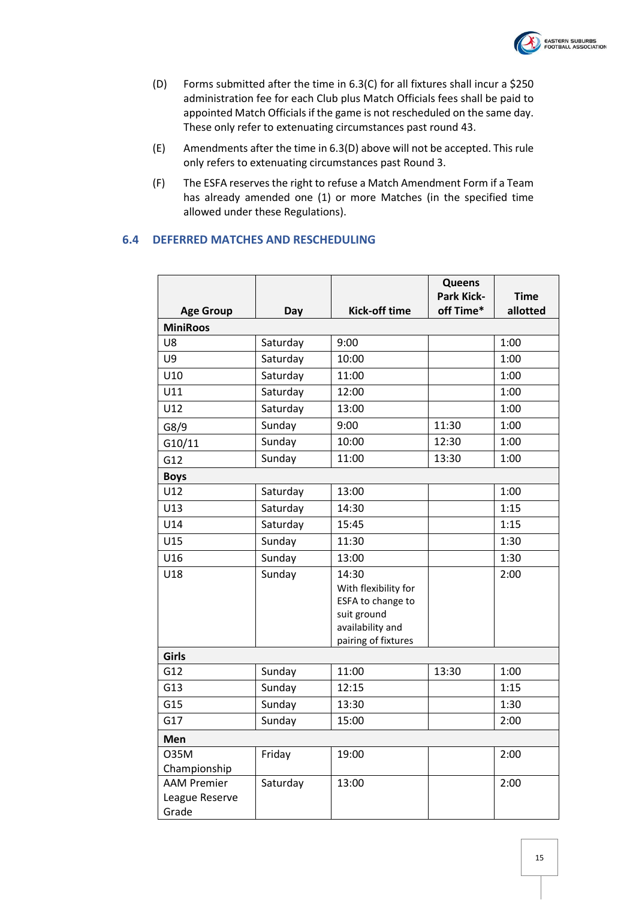

- <span id="page-14-1"></span>(D) Forms submitted after the time in [6.3\(C\)](#page-13-2) for all fixtures shall incur a \$250 administration fee for each Club plus Match Officials fees shall be paid to appointed Match Officials if the game is not rescheduled on the same day. These only refer to extenuating circumstances past round 43.
- (E) Amendments after the time i[n 6.3\(D\)](#page-14-1) above will not be accepted. This rule only refers to extenuating circumstances past Round 3.
- (F) The ESFA reserves the right to refuse a Match Amendment Form if a Team has already amended one (1) or more Matches (in the specified time allowed under these Regulations).

#### <span id="page-14-0"></span>**6.4 DEFERRED MATCHES AND RESCHEDULING**

|                         |          |                                 | Queens                         |                         |
|-------------------------|----------|---------------------------------|--------------------------------|-------------------------|
| <b>Age Group</b>        | Day      | <b>Kick-off time</b>            | <b>Park Kick-</b><br>off Time* | <b>Time</b><br>allotted |
| <b>MiniRoos</b>         |          |                                 |                                |                         |
| U8                      | Saturday | 9:00                            |                                | 1:00                    |
| U9                      | Saturday | 10:00                           |                                | 1:00                    |
| U10                     | Saturday | 11:00                           |                                | 1:00                    |
| U11                     | Saturday | 12:00                           |                                | 1:00                    |
| U12                     | Saturday | 13:00                           |                                | 1:00                    |
| G8/9                    | Sunday   | 9:00                            | 11:30                          | 1:00                    |
| G10/11                  | Sunday   | 10:00                           | 12:30                          | 1:00                    |
| G12                     | Sunday   | 11:00                           | 13:30                          | 1:00                    |
| <b>Boys</b>             |          |                                 |                                |                         |
| U12                     | Saturday | 13:00                           |                                | 1:00                    |
| U13                     | Saturday | 14:30                           |                                | 1:15                    |
| U14                     | Saturday | 15:45                           |                                | 1:15                    |
| U15                     | Sunday   | 11:30                           |                                | 1:30                    |
| U16                     | Sunday   | 13:00                           |                                | 1:30                    |
| U18                     | Sunday   | 14:30<br>With flexibility for   |                                | 2:00                    |
|                         |          | ESFA to change to               |                                |                         |
|                         |          | suit ground<br>availability and |                                |                         |
|                         |          | pairing of fixtures             |                                |                         |
| Girls                   |          |                                 |                                |                         |
| G12                     | Sunday   | 11:00                           | 13:30                          | 1:00                    |
| G13                     | Sunday   | 12:15                           |                                | 1:15                    |
| G15                     | Sunday   | 13:30                           |                                | 1:30                    |
| G17                     | Sunday   | 15:00                           |                                | 2:00                    |
| Men                     |          |                                 |                                |                         |
| 035M                    | Friday   | 19:00                           |                                | 2:00                    |
| Championship            |          |                                 |                                |                         |
| <b>AAM Premier</b>      | Saturday | 13:00                           |                                | 2:00                    |
| League Reserve<br>Grade |          |                                 |                                |                         |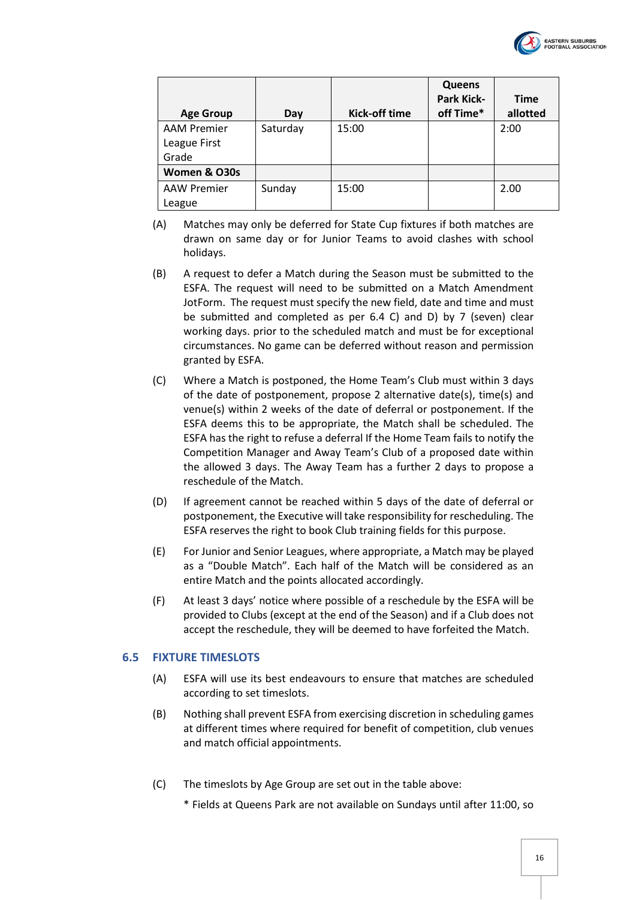

| <b>Age Group</b>                            | Day      | Kick-off time | <b>Queens</b><br><b>Park Kick-</b><br>off Time* | <b>Time</b><br>allotted |
|---------------------------------------------|----------|---------------|-------------------------------------------------|-------------------------|
| <b>AAM Premier</b><br>League First<br>Grade | Saturday | 15:00         |                                                 | 2:00                    |
| Women & O30s                                |          |               |                                                 |                         |
| <b>AAW Premier</b><br>League                | Sunday   | 15:00         |                                                 | 2.00                    |

- (A) Matches may only be deferred for State Cup fixtures if both matches are drawn on same day or for Junior Teams to avoid clashes with school holidays.
- (B) A request to defer a Match during the Season must be submitted to the ESFA. The request will need to be submitted on a Match Amendment JotForm. The request must specify the new field, date and time and must be submitted and completed as per 6.4 C) and D) by 7 (seven) clear working days. prior to the scheduled match and must be for exceptional circumstances. No game can be deferred without reason and permission granted by ESFA.
- (C) Where a Match is postponed, the Home Team's Club must within 3 days of the date of postponement, propose 2 alternative date(s), time(s) and venue(s) within 2 weeks of the date of deferral or postponement. If the ESFA deems this to be appropriate, the Match shall be scheduled. The ESFA has the right to refuse a deferral If the Home Team fails to notify the Competition Manager and Away Team's Club of a proposed date within the allowed 3 days. The Away Team has a further 2 days to propose a reschedule of the Match.
- (D) If agreement cannot be reached within 5 days of the date of deferral or postponement, the Executive will take responsibility for rescheduling. The ESFA reserves the right to book Club training fields for this purpose.
- (E) For Junior and Senior Leagues, where appropriate, a Match may be played as a "Double Match". Each half of the Match will be considered as an entire Match and the points allocated accordingly.
- (F) At least 3 days' notice where possible of a reschedule by the ESFA will be provided to Clubs (except at the end of the Season) and if a Club does not accept the reschedule, they will be deemed to have forfeited the Match.

#### <span id="page-15-0"></span>**6.5 FIXTURE TIMESLOTS**

- (A) ESFA will use its best endeavours to ensure that matches are scheduled according to set timeslots.
- (B) Nothing shall prevent ESFA from exercising discretion in scheduling games at different times where required for benefit of competition, club venues and match official appointments.
- (C) The timeslots by Age Group are set out in the table above:
	- \* Fields at Queens Park are not available on Sundays until after 11:00, so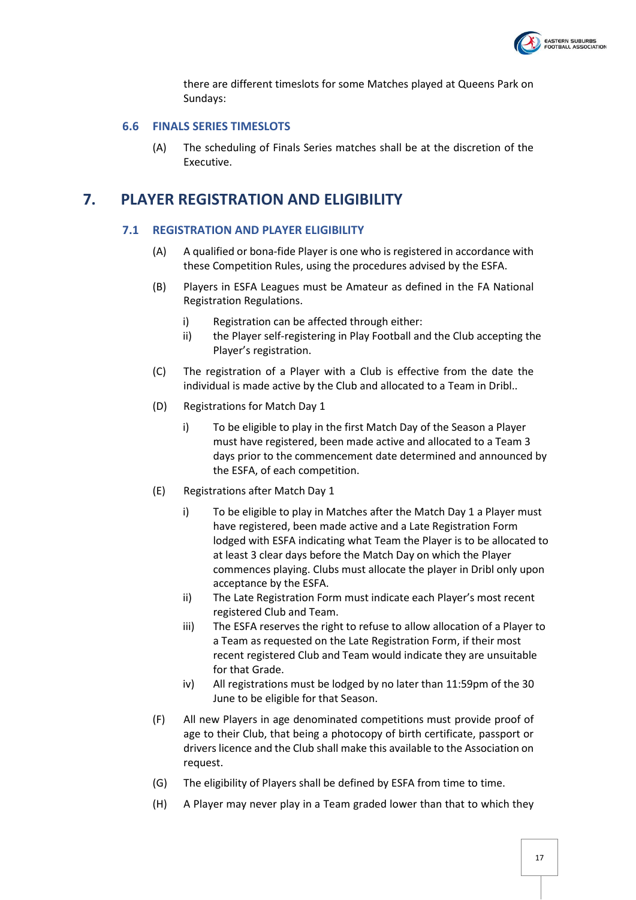

there are different timeslots for some Matches played at Queens Park on Sundays:

#### <span id="page-16-0"></span>**6.6 FINALS SERIES TIMESLOTS**

(A) The scheduling of Finals Series matches shall be at the discretion of the Executive.

### <span id="page-16-2"></span><span id="page-16-1"></span>**7. PLAYER REGISTRATION AND ELIGIBILITY**

#### **7.1 REGISTRATION AND PLAYER ELIGIBILITY**

- (A) A qualified or bona-fide Player is one who is registered in accordance with these Competition Rules, using the procedures advised by the ESFA.
- (B) Players in ESFA Leagues must be Amateur as defined in the FA National Registration Regulations.
	- i) Registration can be affected through either:
	- ii) the Player self-registering in Play Football and the Club accepting the Player's registration.
- (C) The registration of a Player with a Club is effective from the date the individual is made active by the Club and allocated to a Team in Dribl..
- (D) Registrations for Match Day 1
	- i) To be eligible to play in the first Match Day of the Season a Player must have registered, been made active and allocated to a Team 3 days prior to the commencement date determined and announced by the ESFA, of each competition.
- (E) Registrations after Match Day 1
	- i) To be eligible to play in Matches after the Match Day 1 a Player must have registered, been made active and a Late Registration Form lodged with ESFA indicating what Team the Player is to be allocated to at least 3 clear days before the Match Day on which the Player commences playing. Clubs must allocate the player in Dribl only upon acceptance by the ESFA.
	- ii) The Late Registration Form must indicate each Player's most recent registered Club and Team.
	- iii) The ESFA reserves the right to refuse to allow allocation of a Player to a Team as requested on the Late Registration Form, if their most recent registered Club and Team would indicate they are unsuitable for that Grade.
	- iv) All registrations must be lodged by no later than 11:59pm of the 30 June to be eligible for that Season.
- (F) All new Players in age denominated competitions must provide proof of age to their Club, that being a photocopy of birth certificate, passport or drivers licence and the Club shall make this available to the Association on request.
- (G) The eligibility of Players shall be defined by ESFA from time to time.
- (H) A Player may never play in a Team graded lower than that to which they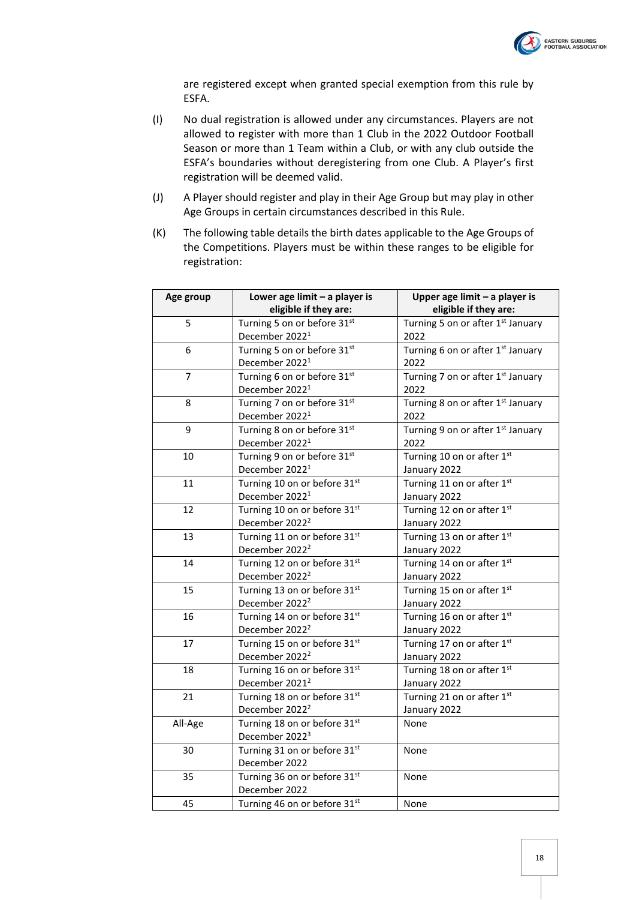

are registered except when granted special exemption from this rule by ESFA.

- (I) No dual registration is allowed under any circumstances. Players are not allowed to register with more than 1 Club in the 2022 Outdoor Football Season or more than 1 Team within a Club, or with any club outside the ESFA's boundaries without deregistering from one Club. A Player's first registration will be deemed valid.
- (J) A Player should register and play in their Age Group but may play in other Age Groups in certain circumstances described in this Rule.
- (K) The following table details the birth dates applicable to the Age Groups of the Competitions. Players must be within these ranges to be eligible for registration:

| Age group      | Lower age limit - a player is<br>eligible if they are: | Upper age limit - a player is<br>eligible if they are: |
|----------------|--------------------------------------------------------|--------------------------------------------------------|
| 5              | Turning 5 on or before 31st                            | Turning 5 on or after 1st January                      |
|                | December 2022 <sup>1</sup>                             | 2022                                                   |
| 6              | Turning 5 on or before 31st                            | Turning 6 on or after 1st January                      |
|                | December 2022 <sup>1</sup>                             | 2022                                                   |
| $\overline{7}$ | Turning 6 on or before 31st                            | Turning 7 on or after 1st January                      |
|                | December 2022 <sup>1</sup>                             | 2022                                                   |
| 8              | Turning 7 on or before 31st                            | Turning 8 on or after 1st January                      |
|                | December 2022 <sup>1</sup>                             | 2022                                                   |
| 9              | Turning 8 on or before 31st                            | Turning 9 on or after 1st January                      |
|                | December 2022 <sup>1</sup>                             | 2022                                                   |
| 10             | Turning 9 on or before 31st                            | Turning 10 on or after 1st                             |
|                | December 2022 <sup>1</sup>                             | January 2022                                           |
| 11             | Turning 10 on or before 31st                           | Turning 11 on or after 1st                             |
|                | December 2022 <sup>1</sup>                             | January 2022                                           |
| 12             | Turning 10 on or before 31st                           | Turning 12 on or after 1st                             |
|                | December 2022 <sup>2</sup>                             | January 2022                                           |
| 13             | Turning 11 on or before 31st                           | Turning 13 on or after 1st                             |
|                | December 2022 <sup>2</sup>                             | January 2022                                           |
| 14             | Turning 12 on or before 31st                           | Turning 14 on or after 1st                             |
|                | December 2022 <sup>2</sup>                             | January 2022                                           |
| 15             | Turning 13 on or before 31st                           | Turning 15 on or after 1st                             |
|                | December 2022 <sup>2</sup>                             | January 2022                                           |
| 16             | Turning 14 on or before 31st                           | Turning 16 on or after 1st                             |
|                | December 2022 <sup>2</sup>                             | January 2022                                           |
| 17             | Turning 15 on or before 31st                           | Turning 17 on or after 1st                             |
|                | December 2022 <sup>2</sup>                             | January 2022                                           |
| 18             | Turning 16 on or before 31st                           | Turning 18 on or after 1st                             |
|                | December 2021 <sup>2</sup>                             | January 2022                                           |
| 21             | Turning 18 on or before 31st                           | Turning 21 on or after 1st                             |
|                | December 2022 <sup>2</sup>                             | January 2022                                           |
| All-Age        | Turning 18 on or before 31st                           | None                                                   |
|                | December 2022 <sup>3</sup>                             |                                                        |
| 30             | Turning 31 on or before 31st                           | None                                                   |
|                | December 2022                                          |                                                        |
| 35             | Turning 36 on or before 31st                           | None                                                   |
|                | December 2022                                          |                                                        |
| 45             | Turning 46 on or before 31st                           | None                                                   |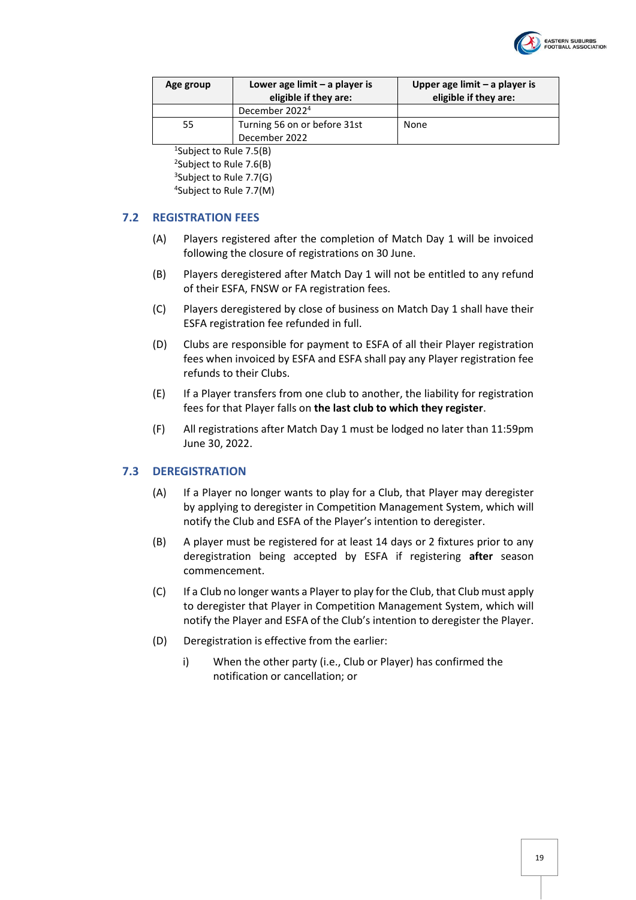

| Age group | Lower age limit $-$ a player is<br>eligible if they are: | Upper age limit $-$ a player is<br>eligible if they are: |
|-----------|----------------------------------------------------------|----------------------------------------------------------|
|           | December 2022 <sup>4</sup>                               |                                                          |
| 55        | Turning 56 on or before 31st                             | None                                                     |
|           | December 2022                                            |                                                          |

 Subject to Rule [7.5\(B\)](#page-20-1) <sup>2</sup>Subject to Rule [7.6\(B\)](#page-21-1) Subject to Rule [7.7\(G\)](#page-22-1) Subject to Rule [7.7\(M\)](#page-23-1)

#### <span id="page-18-0"></span>**7.2 REGISTRATION FEES**

- (A) Players registered after the completion of Match Day 1 will be invoiced following the closure of registrations on 30 June.
- (B) Players deregistered after Match Day 1 will not be entitled to any refund of their ESFA, FNSW or FA registration fees.
- (C) Players deregistered by close of business on Match Day 1 shall have their ESFA registration fee refunded in full.
- (D) Clubs are responsible for payment to ESFA of all their Player registration fees when invoiced by ESFA and ESFA shall pay any Player registration fee refunds to their Clubs.
- (E) If a Player transfers from one club to another, the liability for registration fees for that Player falls on **the last club to which they register**.
- (F) All registrations after Match Day 1 must be lodged no later than 11:59pm June 30, 2022.

#### <span id="page-18-1"></span>**7.3 DEREGISTRATION**

- (A) If a Player no longer wants to play for a Club, that Player may deregister by applying to deregister in Competition Management System, which will notify the Club and ESFA of the Player's intention to deregister.
- (B) A player must be registered for at least 14 days or 2 fixtures prior to any deregistration being accepted by ESFA if registering **after** season commencement.
- (C) If a Club no longer wants a Player to play for the Club, that Club must apply to deregister that Player in Competition Management System, which will notify the Player and ESFA of the Club's intention to deregister the Player.
- (D) Deregistration is effective from the earlier:
	- i) When the other party (i.e., Club or Player) has confirmed the notification or cancellation; or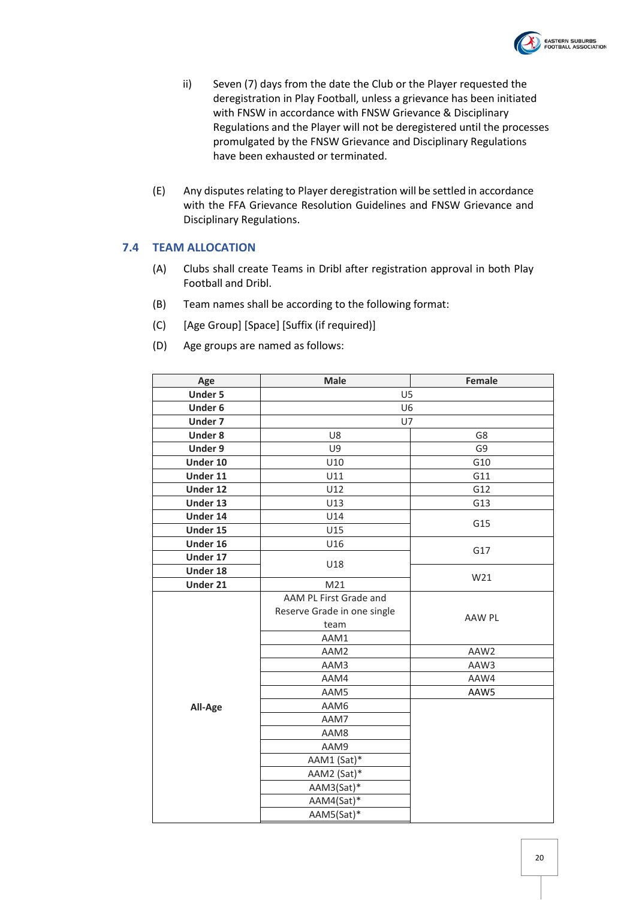

- ii) Seven (7) days from the date the Club or the Player requested the deregistration in Play Football, unless a grievance has been initiated with FNSW in accordance with FNSW Grievance & Disciplinary Regulations and the Player will not be deregistered until the processes promulgated by the FNSW Grievance and Disciplinary Regulations have been exhausted or terminated.
- (E) Any disputes relating to Player deregistration will be settled in accordance with the FFA Grievance Resolution Guidelines and FNSW Grievance and Disciplinary Regulations.

#### <span id="page-19-0"></span>**7.4 TEAM ALLOCATION**

- (A) Clubs shall create Teams in Dribl after registration approval in both Play Football and Dribl.
- (B) Team names shall be according to the following format:
- (C) [Age Group] [Space] [Suffix (if required)]
- (D) Age groups are named as follows:

| Age            | Female<br><b>Male</b>                 |      |  |
|----------------|---------------------------------------|------|--|
| <b>Under 5</b> | U <sub>5</sub>                        |      |  |
| Under 6        | U <sub>6</sub>                        |      |  |
| Under 7        | U7                                    |      |  |
| <b>Under 8</b> | U8                                    | G8   |  |
| Under 9        | U9                                    | G9   |  |
| Under 10       | U10                                   | G10  |  |
| Under 11       | U11                                   | G11  |  |
| Under 12       | U12                                   | G12  |  |
| Under 13       | U13                                   | G13  |  |
| Under 14       | U14                                   | G15  |  |
| Under 15       | U15                                   |      |  |
| Under 16       | U16                                   | G17  |  |
| Under 17       | U18                                   |      |  |
| Under 18       |                                       | W21  |  |
| Under 21       | M21                                   |      |  |
|                | AAM PL First Grade and                |      |  |
|                | Reserve Grade in one single<br>AAW PL |      |  |
|                | team                                  |      |  |
|                | AAM1                                  |      |  |
|                | AAW2<br>AAM2                          |      |  |
|                | AAM3                                  | AAW3 |  |
|                | AAM4                                  | AAW4 |  |
|                | AAM5                                  | AAW5 |  |
| All-Age        | AAM6                                  |      |  |
|                | AAM7                                  |      |  |
|                | AAM8                                  |      |  |
|                | AAM9                                  |      |  |
|                | AAM1 (Sat)*                           |      |  |
|                | AAM2 (Sat)*                           |      |  |
|                | AAM3(Sat)*                            |      |  |
|                | AAM4(Sat)*                            |      |  |
|                | AAM5(Sat)*                            |      |  |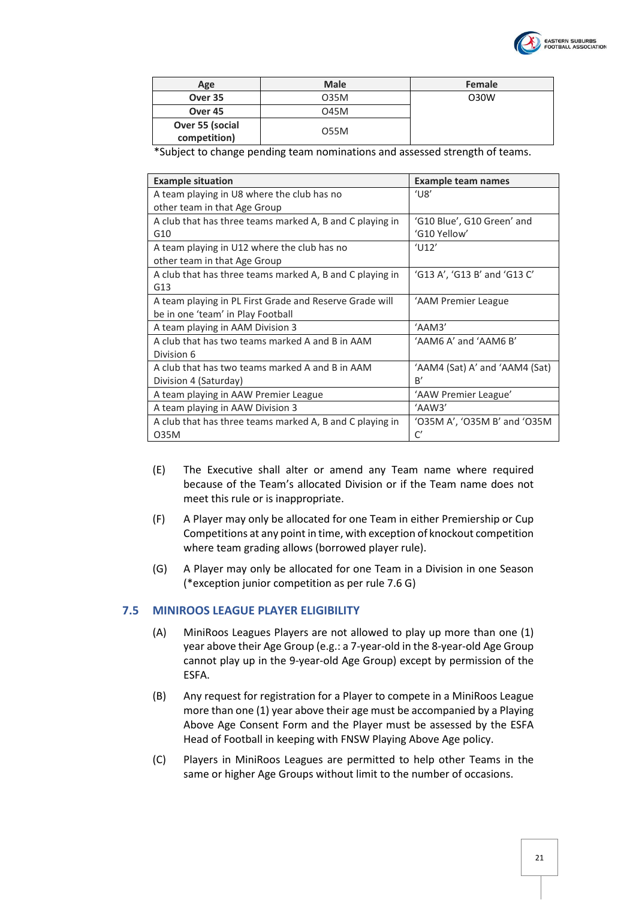

| Age                | <b>Male</b> | Female |
|--------------------|-------------|--------|
| Over 35            | 035M        | O30W   |
| Over <sub>45</sub> | 045M        |        |
| Over 55 (social    |             |        |
| competition)       | 055M        |        |

\*Subject to change pending team nominations and assessed strength of teams.

| <b>Example situation</b>                                 | <b>Example team names</b>      |
|----------------------------------------------------------|--------------------------------|
| A team playing in U8 where the club has no               | $^{\prime}$ U8 $^{\prime}$     |
| other team in that Age Group                             |                                |
| A club that has three teams marked A, B and C playing in | 'G10 Blue', G10 Green' and     |
| G10                                                      | 'G10 Yellow'                   |
| A team playing in U12 where the club has no              | $^{\prime}$ U12'               |
| other team in that Age Group                             |                                |
| A club that has three teams marked A, B and C playing in | 'G13 A', 'G13 B' and 'G13 C'   |
| G13                                                      |                                |
| A team playing in PL First Grade and Reserve Grade will  | 'AAM Premier League            |
| be in one 'team' in Play Football                        |                                |
| A team playing in AAM Division 3                         | 'AAM3'                         |
| A club that has two teams marked A and B in AAM          | 'AAM6 A' and 'AAM6 B'          |
| Division 6                                               |                                |
| A club that has two teams marked A and B in AAM          | 'AAM4 (Sat) A' and 'AAM4 (Sat) |
| Division 4 (Saturday)                                    | B'                             |
| A team playing in AAW Premier League                     | 'AAW Premier League'           |
| A team playing in AAW Division 3                         | 'AAW3'                         |
| A club that has three teams marked A, B and C playing in | 'O35M A', 'O35M B' and 'O35M   |
| 035M                                                     | C'                             |

- (E) The Executive shall alter or amend any Team name where required because of the Team's allocated Division or if the Team name does not meet this rule or is inappropriate.
- (F) A Player may only be allocated for one Team in either Premiership or Cup Competitions at any point in time, with exception of knockout competition where team grading allows (borrowed player rule).
- (G) A Player may only be allocated for one Team in a Division in one Season (\*exception junior competition as per rule 7.6 G)

#### <span id="page-20-0"></span>**7.5 MINIROOS LEAGUE PLAYER ELIGIBILITY**

- (A) MiniRoos Leagues Players are not allowed to play up more than one (1) year above their Age Group (e.g.: a 7-year-old in the 8-year-old Age Group cannot play up in the 9-year-old Age Group) except by permission of the ESFA.
- <span id="page-20-1"></span>(B) Any request for registration for a Player to compete in a MiniRoos League more than one (1) year above their age must be accompanied by a Playing Above Age Consent Form and the Player must be assessed by the ESFA Head of Football in keeping with FNSW Playing Above Age policy.
- (C) Players in MiniRoos Leagues are permitted to help other Teams in the same or higher Age Groups without limit to the number of occasions.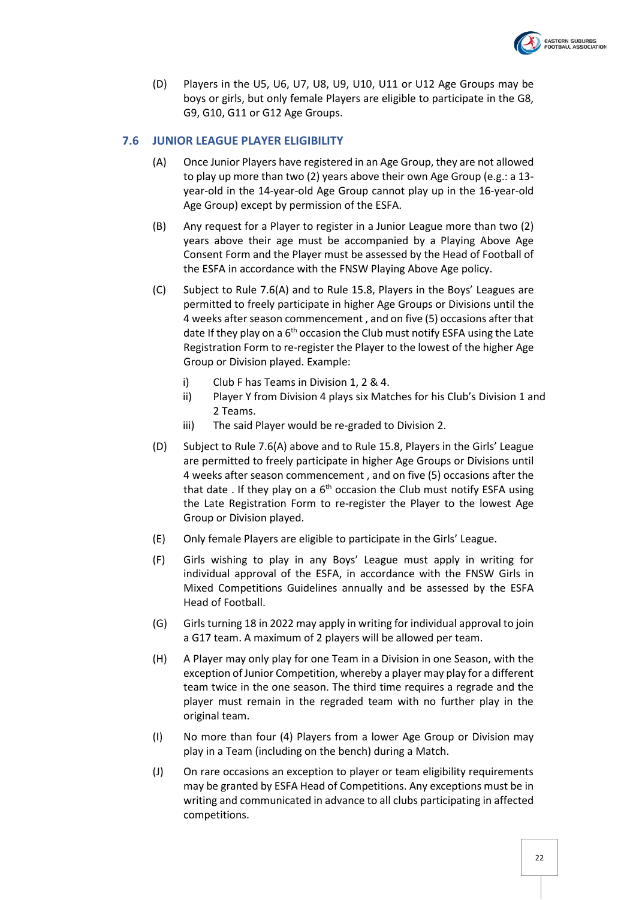

(D) Players in the U5, U6, U7, U8, U9, U10, U11 or U12 Age Groups may be boys or girls, but only female Players are eligible to participate in the G8, G9, G10, G11 or G12 Age Groups.

#### <span id="page-21-2"></span><span id="page-21-0"></span>**7.6 JUNIOR LEAGUE PLAYER ELIGIBILITY**

- (A) Once Junior Players have registered in an Age Group, they are not allowed to play up more than two (2) years above their own Age Group (e.g.: a 13 year-old in the 14-year-old Age Group cannot play up in the 16-year-old Age Group) except by permission of the ESFA.
- <span id="page-21-1"></span>(B) Any request for a Player to register in a Junior League more than two (2) years above their age must be accompanied by a Playing Above Age Consent Form and the Player must be assessed by the Head of Football of the ESFA in accordance with the FNSW Playing Above Age policy.
- <span id="page-21-3"></span>(C) Subject to Rule [7.6\(A\)](#page-21-2) and to Rule [15.8,](#page-45-1) Players in the Boys' Leagues are permitted to freely participate in higher Age Groups or Divisions until the 4 weeks after season commencement , and on five (5) occasions after that date If they play on a 6<sup>th</sup> occasion the Club must notify ESFA using the Late Registration Form to re-register the Player to the lowest of the higher Age Group or Division played. Example:
	- i) Club F has Teams in Division 1, 2 & 4.
	- ii) Player Y from Division 4 plays six Matches for his Club's Division 1 and 2 Teams.
	- iii) The said Player would be re-graded to Division 2.
- <span id="page-21-4"></span>(D) Subject to Rul[e 7.6\(A\)](#page-21-2) above and to Rule [15.8,](#page-45-1) Players in the Girls' League are permitted to freely participate in higher Age Groups or Divisions until 4 weeks after season commencement , and on five (5) occasions after the that date . If they play on a 6<sup>th</sup> occasion the Club must notify ESFA using the Late Registration Form to re-register the Player to the lowest Age Group or Division played.
- (E) Only female Players are eligible to participate in the Girls' League.
- (F) Girls wishing to play in any Boys' League must apply in writing for individual approval of the ESFA, in accordance with the FNSW Girls in Mixed Competitions Guidelines annually and be assessed by the ESFA Head of Football.
- (G) Girls turning 18 in 2022 may apply in writing for individual approval to join a G17 team. A maximum of 2 players will be allowed per team.
- (H) A Player may only play for one Team in a Division in one Season, with the exception of Junior Competition, whereby a player may play for a different team twice in the one season. The third time requires a regrade and the player must remain in the regraded team with no further play in the original team.
- (I) No more than four (4) Players from a lower Age Group or Division may play in a Team (including on the bench) during a Match.
- (J) On rare occasions an exception to player or team eligibility requirements may be granted by ESFA Head of Competitions. Any exceptions must be in writing and communicated in advance to all clubs participating in affected competitions.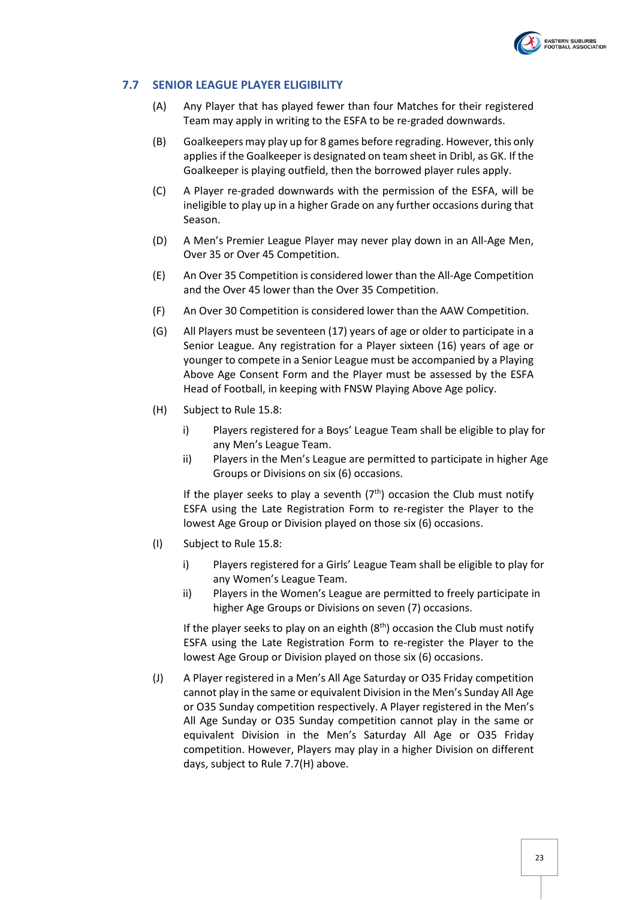

#### <span id="page-22-0"></span>**7.7 SENIOR LEAGUE PLAYER ELIGIBILITY**

- (A) Any Player that has played fewer than four Matches for their registered Team may apply in writing to the ESFA to be re-graded downwards.
- (B) Goalkeepers may play up for 8 games before regrading. However, this only applies if the Goalkeeper is designated on team sheet in Dribl, as GK. If the Goalkeeper is playing outfield, then the borrowed player rules apply.
- (C) A Player re-graded downwards with the permission of the ESFA, will be ineligible to play up in a higher Grade on any further occasions during that Season.
- (D) A Men's Premier League Player may never play down in an All-Age Men, Over 35 or Over 45 Competition.
- (E) An Over 35 Competition is considered lower than the All-Age Competition and the Over 45 lower than the Over 35 Competition.
- (F) An Over 30 Competition is considered lower than the AAW Competition.
- <span id="page-22-1"></span>(G) All Players must be seventeen (17) years of age or older to participate in a Senior League. Any registration for a Player sixteen (16) years of age or younger to compete in a Senior League must be accompanied by a Playing Above Age Consent Form and the Player must be assessed by the ESFA Head of Football, in keeping with FNSW Playing Above Age policy.
- <span id="page-22-2"></span>(H) Subject to Rul[e 15.8:](#page-45-1)
	- i) Players registered for a Boys' League Team shall be eligible to play for any Men's League Team.
	- ii) Players in the Men's League are permitted to participate in higher Age Groups or Divisions on six (6) occasions.

If the player seeks to play a seventh  $(7<sup>th</sup>)$  occasion the Club must notify ESFA using the Late Registration Form to re-register the Player to the lowest Age Group or Division played on those six (6) occasions.

- <span id="page-22-3"></span>(I) Subject to Rul[e 15.8:](#page-45-1)
	- i) Players registered for a Girls' League Team shall be eligible to play for any Women's League Team.
	- ii) Players in the Women's League are permitted to freely participate in higher Age Groups or Divisions on seven (7) occasions.

If the player seeks to play on an eighth  $(8<sup>th</sup>)$  occasion the Club must notify ESFA using the Late Registration Form to re-register the Player to the lowest Age Group or Division played on those six (6) occasions.

(J) A Player registered in a Men's All Age Saturday or O35 Friday competition cannot play in the same or equivalent Division in the Men's Sunday All Age or O35 Sunday competition respectively. A Player registered in the Men's All Age Sunday or O35 Sunday competition cannot play in the same or equivalent Division in the Men's Saturday All Age or O35 Friday competition. However, Players may play in a higher Division on different days, subject to Rul[e 7.7\(H\)](#page-22-2) above.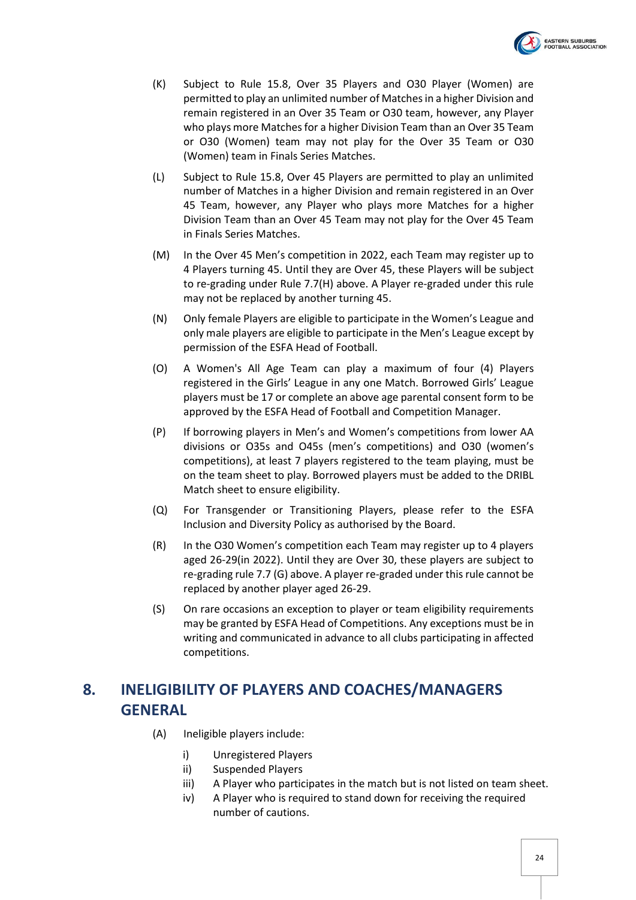

- (K) Subject to Rule [15.8,](#page-45-1) Over 35 Players and O30 Player (Women) are permitted to play an unlimited number of Matches in a higher Division and remain registered in an Over 35 Team or O30 team, however, any Player who plays more Matches for a higher Division Team than an Over 35 Team or O30 (Women) team may not play for the Over 35 Team or O30 (Women) team in Finals Series Matches.
- (L) Subject to Rule [15.8,](#page-45-1) Over 45 Players are permitted to play an unlimited number of Matches in a higher Division and remain registered in an Over 45 Team, however, any Player who plays more Matches for a higher Division Team than an Over 45 Team may not play for the Over 45 Team in Finals Series Matches.
- <span id="page-23-1"></span>(M) In the Over 45 Men's competition in 2022, each Team may register up to 4 Players turning 45. Until they are Over 45, these Players will be subject to re-grading under Rul[e 7.7\(H\)](#page-22-2) above. A Player re-graded under this rule may not be replaced by another turning 45.
- (N) Only female Players are eligible to participate in the Women's League and only male players are eligible to participate in the Men's League except by permission of the ESFA Head of Football.
- (O) A Women's All Age Team can play a maximum of four (4) Players registered in the Girls' League in any one Match. Borrowed Girls' League players must be 17 or complete an above age parental consent form to be approved by the ESFA Head of Football and Competition Manager.
- (P) If borrowing players in Men's and Women's competitions from lower AA divisions or O35s and O45s (men's competitions) and O30 (women's competitions), at least 7 players registered to the team playing, must be on the team sheet to play. Borrowed players must be added to the DRIBL Match sheet to ensure eligibility.
- (Q) For Transgender or Transitioning Players, please refer to the ESFA Inclusion and Diversity Policy as authorised by the Board.
- (R) In the O30 Women's competition each Team may register up to 4 players aged 26-29(in 2022). Until they are Over 30, these players are subject to re-grading rule 7.7 (G) above. A player re-graded under this rule cannot be replaced by another player aged 26-29.
- (S) On rare occasions an exception to player or team eligibility requirements may be granted by ESFA Head of Competitions. Any exceptions must be in writing and communicated in advance to all clubs participating in affected competitions.

# <span id="page-23-0"></span>**8. INELIGIBILITY OF PLAYERS AND COACHES/MANAGERS GENERAL**

- (A) Ineligible players include:
	- i) Unregistered Players
	- ii) Suspended Players
	- iii) A Player who participates in the match but is not listed on team sheet.
	- iv) A Player who is required to stand down for receiving the required number of cautions.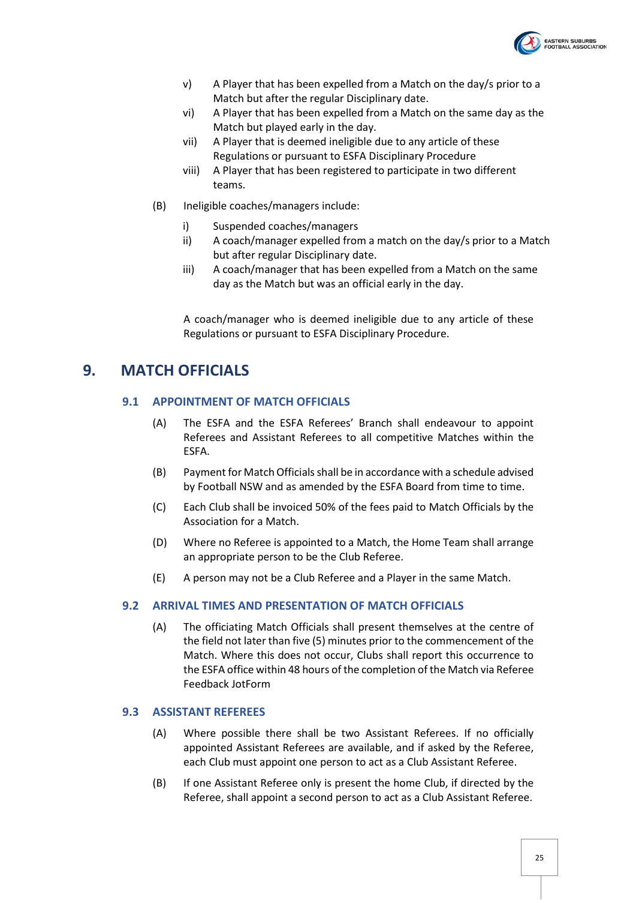

- v) A Player that has been expelled from a Match on the day/s prior to a Match but after the regular Disciplinary date.
- vi) A Player that has been expelled from a Match on the same day as the Match but played early in the day.
- vii) A Player that is deemed ineligible due to any article of these Regulations or pursuant to ESFA Disciplinary Procedure
- viii) A Player that has been registered to participate in two different teams.
- (B) Ineligible coaches/managers include:
	- i) Suspended coaches/managers
	- ii) A coach/manager expelled from a match on the day/s prior to a Match but after regular Disciplinary date.
	- iii) A coach/manager that has been expelled from a Match on the same day as the Match but was an official early in the day.

A coach/manager who is deemed ineligible due to any article of these Regulations or pursuant to ESFA Disciplinary Procedure.

# <span id="page-24-1"></span><span id="page-24-0"></span>**9. MATCH OFFICIALS**

#### **9.1 APPOINTMENT OF MATCH OFFICIALS**

- (A) The ESFA and the ESFA Referees' Branch shall endeavour to appoint Referees and Assistant Referees to all competitive Matches within the ESFA.
- (B) Payment for Match Officials shall be in accordance with a schedule advised by Football NSW and as amended by the ESFA Board from time to time.
- (C) Each Club shall be invoiced 50% of the fees paid to Match Officials by the Association for a Match.
- (D) Where no Referee is appointed to a Match, the Home Team shall arrange an appropriate person to be the Club Referee.
- (E) A person may not be a Club Referee and a Player in the same Match.

#### <span id="page-24-2"></span>**9.2 ARRIVAL TIMES AND PRESENTATION OF MATCH OFFICIALS**

(A) The officiating Match Officials shall present themselves at the centre of the field not later than five (5) minutes prior to the commencement of the Match. Where this does not occur, Clubs shall report this occurrence to the ESFA office within 48 hours of the completion of the Match via Referee Feedback JotForm

#### <span id="page-24-3"></span>**9.3 ASSISTANT REFEREES**

- (A) Where possible there shall be two Assistant Referees. If no officially appointed Assistant Referees are available, and if asked by the Referee, each Club must appoint one person to act as a Club Assistant Referee.
- (B) If one Assistant Referee only is present the home Club, if directed by the Referee, shall appoint a second person to act as a Club Assistant Referee.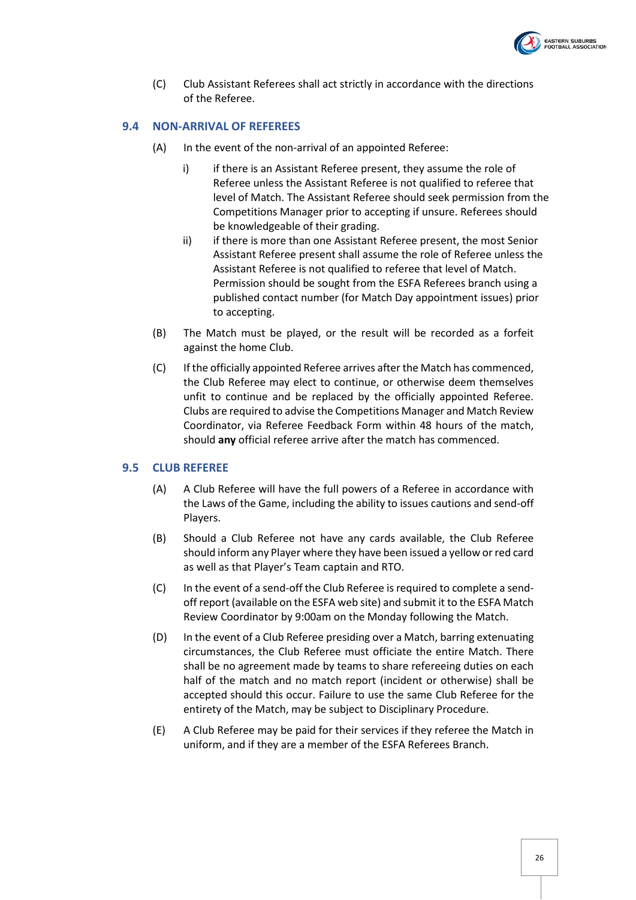

(C) Club Assistant Referees shall act strictly in accordance with the directions of the Referee.

#### <span id="page-25-0"></span>**9.4 NON-ARRIVAL OF REFEREES**

- (A) In the event of the non-arrival of an appointed Referee:
	- i) if there is an Assistant Referee present, they assume the role of Referee unless the Assistant Referee is not qualified to referee that level of Match. The Assistant Referee should seek permission from the Competitions Manager prior to accepting if unsure. Referees should be knowledgeable of their grading.
	- ii) if there is more than one Assistant Referee present, the most Senior Assistant Referee present shall assume the role of Referee unless the Assistant Referee is not qualified to referee that level of Match. Permission should be sought from the ESFA Referees branch using a published contact number (for Match Day appointment issues) prior to accepting.
- (B) The Match must be played, or the result will be recorded as a forfeit against the home Club.
- (C) If the officially appointed Referee arrives after the Match has commenced, the Club Referee may elect to continue, or otherwise deem themselves unfit to continue and be replaced by the officially appointed Referee. Clubs are required to advise the Competitions Manager and Match Review Coordinator, via Referee Feedback Form within 48 hours of the match, should **any** official referee arrive after the match has commenced.

#### <span id="page-25-1"></span>**9.5 CLUB REFEREE**

- (A) A Club Referee will have the full powers of a Referee in accordance with the Laws of the Game, including the ability to issues cautions and send-off Players.
- (B) Should a Club Referee not have any cards available, the Club Referee should inform any Player where they have been issued a yellow or red card as well as that Player's Team captain and RTO.
- (C) In the event of a send-off the Club Referee is required to complete a sendoff report (available on the ESFA web site) and submit it to the ESFA Match Review Coordinator by 9:00am on the Monday following the Match.
- (D) In the event of a Club Referee presiding over a Match, barring extenuating circumstances, the Club Referee must officiate the entire Match. There shall be no agreement made by teams to share refereeing duties on each half of the match and no match report (incident or otherwise) shall be accepted should this occur. Failure to use the same Club Referee for the entirety of the Match, may be subject to Disciplinary Procedure.
- (E) A Club Referee may be paid for their services if they referee the Match in uniform, and if they are a member of the ESFA Referees Branch.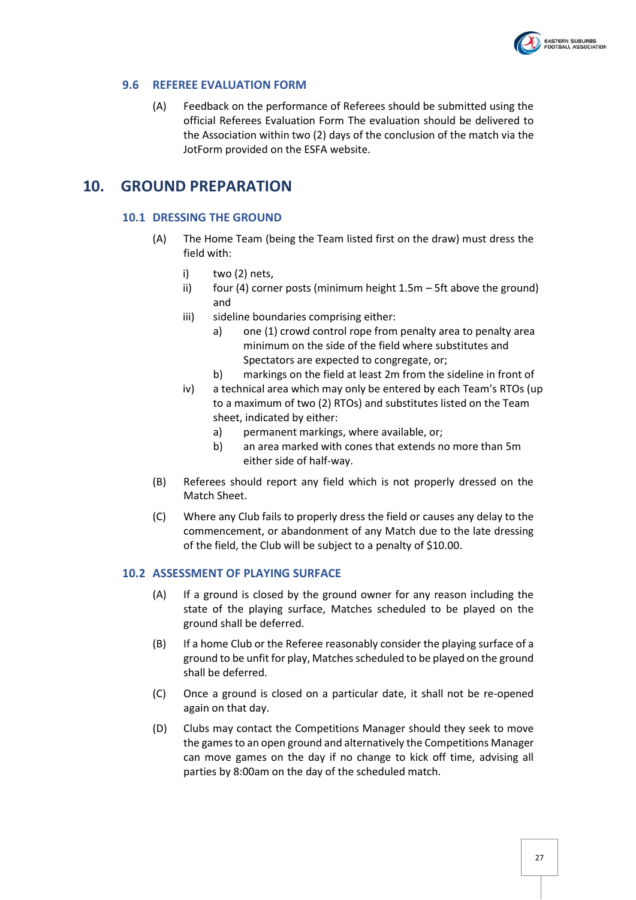

#### <span id="page-26-0"></span>**9.6 REFEREE EVALUATION FORM**

(A) Feedback on the performance of Referees should be submitted using the official Referees Evaluation Form The evaluation should be delivered to the Association within two (2) days of the conclusion of the match via the JotForm provided on the ESFA website.

# <span id="page-26-2"></span><span id="page-26-1"></span>**10. GROUND PREPARATION**

#### **10.1 DRESSING THE GROUND**

- (A) The Home Team (being the Team listed first on the draw) must dress the field with:
	- i) two (2) nets,
	- ii) four (4) corner posts (minimum height  $1.5m 5$ ft above the ground) and
	- iii) sideline boundaries comprising either:
		- a) one (1) crowd control rope from penalty area to penalty area minimum on the side of the field where substitutes and Spectators are expected to congregate, or;
		- b) markings on the field at least 2m from the sideline in front of
	- iv) a technical area which may only be entered by each Team's RTOs (up to a maximum of two (2) RTOs) and substitutes listed on the Team sheet, indicated by either:
		- a) permanent markings, where available, or;
		- b) an area marked with cones that extends no more than 5m either side of half-way.
- (B) Referees should report any field which is not properly dressed on the Match Sheet.
- (C) Where any Club fails to properly dress the field or causes any delay to the commencement, or abandonment of any Match due to the late dressing of the field, the Club will be subject to a penalty of \$10.00.

#### <span id="page-26-4"></span><span id="page-26-3"></span>**10.2 ASSESSMENT OF PLAYING SURFACE**

- (A) If a ground is closed by the ground owner for any reason including the state of the playing surface, Matches scheduled to be played on the ground shall be deferred.
- (B) If a home Club or the Referee reasonably consider the playing surface of a ground to be unfit for play, Matches scheduled to be played on the ground shall be deferred.
- (C) Once a ground is closed on a particular date, it shall not be re-opened again on that day.
- (D) Clubs may contact the Competitions Manager should they seek to move the games to an open ground and alternatively the Competitions Manager can move games on the day if no change to kick off time, advising all parties by 8:00am on the day of the scheduled match.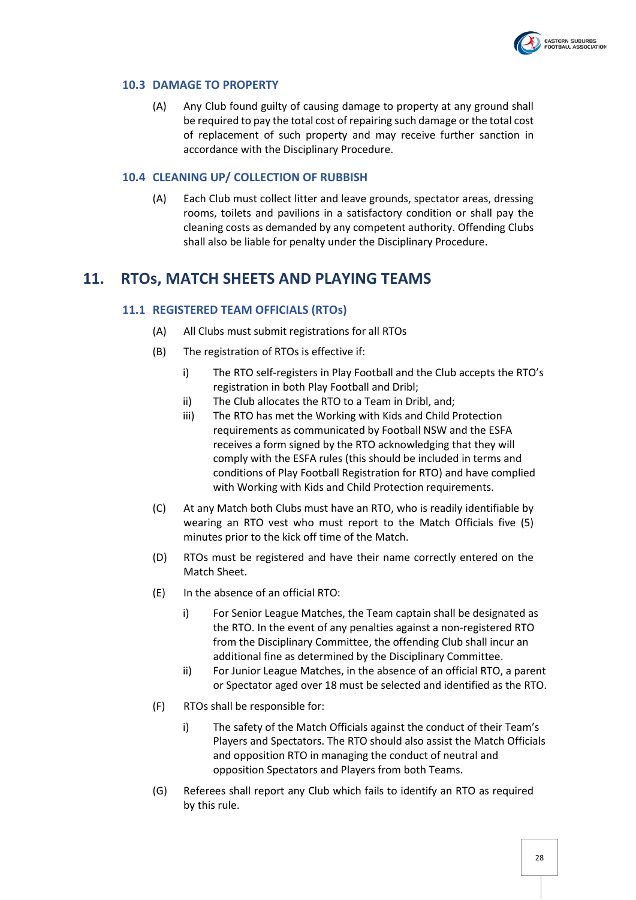

#### <span id="page-27-0"></span>**10.3 DAMAGE TO PROPERTY**

(A) Any Club found guilty of causing damage to property at any ground shall be required to pay the total cost of repairing such damage or the total cost of replacement of such property and may receive further sanction in accordance with the Disciplinary Procedure.

#### <span id="page-27-1"></span>**10.4 CLEANING UP/ COLLECTION OF RUBBISH**

(A) Each Club must collect litter and leave grounds, spectator areas, dressing rooms, toilets and pavilions in a satisfactory condition or shall pay the cleaning costs as demanded by any competent authority. Offending Clubs shall also be liable for penalty under the Disciplinary Procedure.

# <span id="page-27-3"></span><span id="page-27-2"></span>**11. RTOs, MATCH SHEETS AND PLAYING TEAMS**

#### **11.1 REGISTERED TEAM OFFICIALS (RTOs)**

- (A) All Clubs must submit registrations for all RTOs
- (B) The registration of RTOs is effective if:
	- i) The RTO self-registers in Play Football and the Club accepts the RTO's registration in both Play Football and Dribl;
	- ii) The Club allocates the RTO to a Team in Dribl, and;
	- iii) The RTO has met the Working with Kids and Child Protection requirements as communicated by Football NSW and the ESFA receives a form signed by the RTO acknowledging that they will comply with the ESFA rules (this should be included in terms and conditions of Play Football Registration for RTO) and have complied with Working with Kids and Child Protection requirements.
- (C) At any Match both Clubs must have an RTO, who is readily identifiable by wearing an RTO vest who must report to the Match Officials five (5) minutes prior to the kick off time of the Match.
- (D) RTOs must be registered and have their name correctly entered on the Match Sheet.
- (E) In the absence of an official RTO:
	- i) For Senior League Matches, the Team captain shall be designated as the RTO. In the event of any penalties against a non-registered RTO from the Disciplinary Committee, the offending Club shall incur an additional fine as determined by the Disciplinary Committee.
	- ii) For Junior League Matches, in the absence of an official RTO, a parent or Spectator aged over 18 must be selected and identified as the RTO.
- (F) RTOs shall be responsible for:
	- i) The safety of the Match Officials against the conduct of their Team's Players and Spectators. The RTO should also assist the Match Officials and opposition RTO in managing the conduct of neutral and opposition Spectators and Players from both Teams.
- (G) Referees shall report any Club which fails to identify an RTO as required by this rule.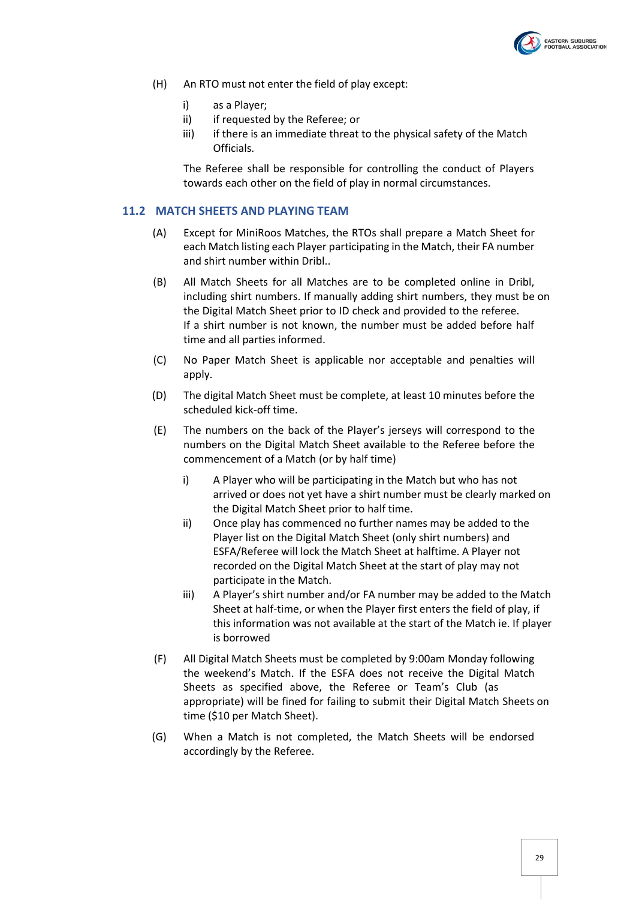

- (H) An RTO must not enter the field of play except:
	- i) as a Player;
	- ii) if requested by the Referee; or
	- iii) if there is an immediate threat to the physical safety of the Match Officials.

The Referee shall be responsible for controlling the conduct of Players towards each other on the field of play in normal circumstances.

#### **11.2 MATCH SHEETS AND PLAYING TEAM**

- <span id="page-28-0"></span>(A) Except for MiniRoos Matches, the RTOs shall prepare a Match Sheet for each Match listing each Player participating in the Match, their FA number and shirt number within Dribl..
- (B) All Match Sheets for all Matches are to be completed online in Dribl, including shirt numbers. If manually adding shirt numbers, they must be on the Digital Match Sheet prior to ID check and provided to the referee. If a shirt number is not known, the number must be added before half time and all parties informed.
- (C) No Paper Match Sheet is applicable nor acceptable and penalties will apply.
- (D) The digital Match Sheet must be complete, at least 10 minutes before the scheduled kick-off time.
- (E) The numbers on the back of the Player's jerseys will correspond to the numbers on the Digital Match Sheet available to the Referee before the commencement of a Match (or by half time)
	- i) A Player who will be participating in the Match but who has not arrived or does not yet have a shirt number must be clearly marked on the Digital Match Sheet prior to half time.
	- ii) Once play has commenced no further names may be added to the Player list on the Digital Match Sheet (only shirt numbers) and ESFA/Referee will lock the Match Sheet at halftime. A Player not recorded on the Digital Match Sheet at the start of play may not participate in the Match.
	- iii) A Player's shirt number and/or FA number may be added to the Match Sheet at half-time, or when the Player first enters the field of play, if this information was not available at the start of the Match ie. If player is borrowed
- <span id="page-28-1"></span>(F) All Digital Match Sheets must be completed by 9:00am Monday following the weekend's Match. If the ESFA does not receive the Digital Match Sheets as specified above, the Referee or Team's Club (as appropriate) will be fined for failing to submit their Digital Match Sheets on time (\$10 per Match Sheet).
- (G) When a Match is not completed, the Match Sheets will be endorsed accordingly by the Referee.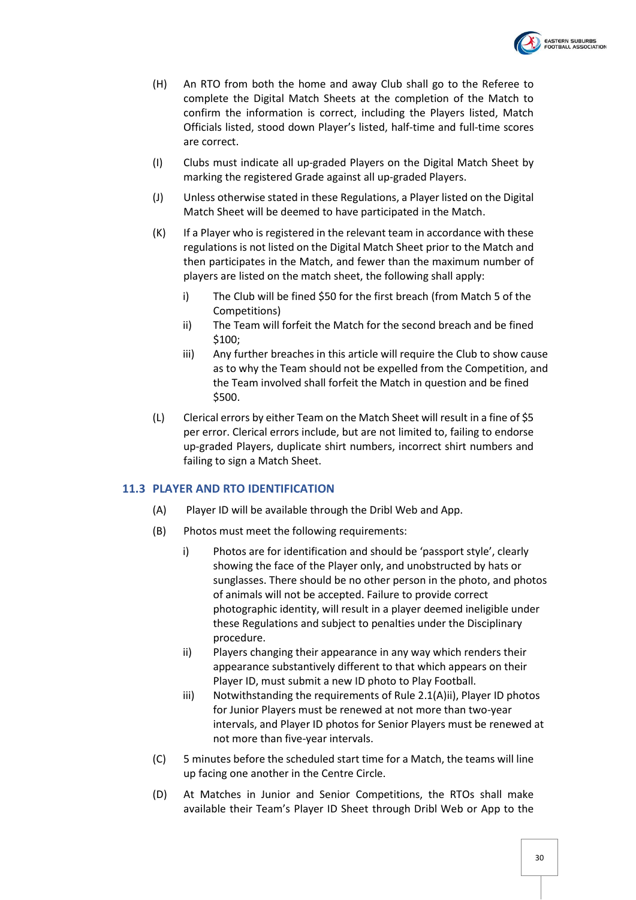

- (H) An RTO from both the home and away Club shall go to the Referee to complete the Digital Match Sheets at the completion of the Match to confirm the information is correct, including the Players listed, Match Officials listed, stood down Player's listed, half-time and full-time scores are correct.
- (I) Clubs must indicate all up-graded Players on the Digital Match Sheet by marking the registered Grade against all up-graded Players.
- (J) Unless otherwise stated in these Regulations, a Player listed on the Digital Match Sheet will be deemed to have participated in the Match.
- <span id="page-29-3"></span><span id="page-29-2"></span>(K) If a Player who is registered in the relevant team in accordance with these regulations is not listed on the Digital Match Sheet prior to the Match and then participates in the Match, and fewer than the maximum number of players are listed on the match sheet, the following shall apply:
	- i) The Club will be fined \$50 for the first breach (from Match 5 of the Competitions)
	- ii) The Team will forfeit the Match for the second breach and be fined \$100;
	- iii) Any further breaches in this article will require the Club to show cause as to why the Team should not be expelled from the Competition, and the Team involved shall forfeit the Match in question and be fined \$500.
- <span id="page-29-5"></span><span id="page-29-4"></span>(L) Clerical errors by either Team on the Match Sheet will result in a fine of \$5 per error. Clerical errors include, but are not limited to, failing to endorse up-graded Players, duplicate shirt numbers, incorrect shirt numbers and failing to sign a Match Sheet.

#### <span id="page-29-0"></span>**11.3 PLAYER AND RTO IDENTIFICATION**

- (A) Player ID will be available through the Dribl Web and App.
- (B) Photos must meet the following requirements:
	- i) Photos are for identification and should be 'passport style', clearly showing the face of the Player only, and unobstructed by hats or sunglasses. There should be no other person in the photo, and photos of animals will not be accepted. Failure to provide correct photographic identity, will result in a player deemed ineligible under these Regulations and subject to penalties under the Disciplinary procedure.
	- ii) Players changing their appearance in any way which renders their appearance substantively different to that which appears on their Player ID, must submit a new ID photo to Play Football.
	- iii) Notwithstanding the requirements of Rul[e 2.1\(A\)ii\),](#page-29-1) Player ID photos for Junior Players must be renewed at not more than two-year intervals, and Player ID photos for Senior Players must be renewed at not more than five-year intervals.
- <span id="page-29-1"></span>(C) 5 minutes before the scheduled start time for a Match, the teams will line up facing one another in the Centre Circle.
- (D) At Matches in Junior and Senior Competitions, the RTOs shall make available their Team's Player ID Sheet through Dribl Web or App to the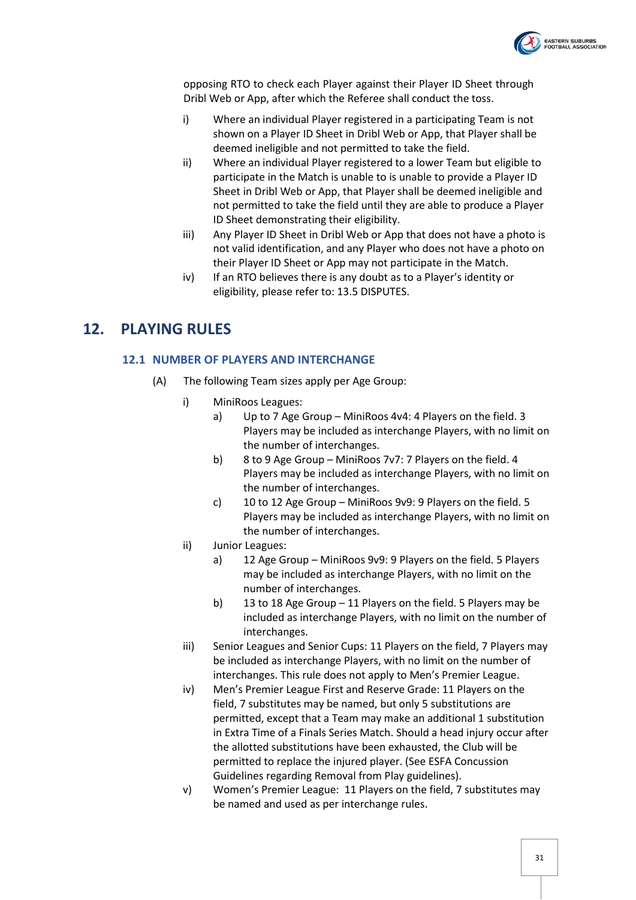

opposing RTO to check each Player against their Player ID Sheet through Dribl Web or App, after which the Referee shall conduct the toss.

- i) Where an individual Player registered in a participating Team is not shown on a Player ID Sheet in Dribl Web or App, that Player shall be deemed ineligible and not permitted to take the field.
- ii) Where an individual Player registered to a lower Team but eligible to participate in the Match is unable to is unable to provide a Player ID Sheet in Dribl Web or App, that Player shall be deemed ineligible and not permitted to take the field until they are able to produce a Player ID Sheet demonstrating their eligibility.
- iii) Any Player ID Sheet in Dribl Web or App that does not have a photo is not valid identification, and any Player who does not have a photo on their Player ID Sheet or App may not participate in the Match.
- iv) If an RTO believes there is any doubt as to a Player's identity or eligibility, please refer to: 13.5 DISPUTES.

# <span id="page-30-1"></span><span id="page-30-0"></span>**12. PLAYING RULES**

#### **12.1 NUMBER OF PLAYERS AND INTERCHANGE**

- (A) The following Team sizes apply per Age Group:
	- i) MiniRoos Leagues:
		- a) Up to 7 Age Group MiniRoos 4v4: 4 Players on the field. 3 Players may be included as interchange Players, with no limit on the number of interchanges.
		- b) 8 to 9 Age Group MiniRoos 7v7: 7 Players on the field. 4 Players may be included as interchange Players, with no limit on the number of interchanges.
		- c) 10 to 12 Age Group MiniRoos 9v9: 9 Players on the field. 5 Players may be included as interchange Players, with no limit on the number of interchanges.
	- ii) Junior Leagues:
		- a) 12 Age Group MiniRoos 9v9: 9 Players on the field. 5 Players may be included as interchange Players, with no limit on the number of interchanges.
		- b) 13 to 18 Age Group 11 Players on the field. 5 Players may be included as interchange Players, with no limit on the number of interchanges.
	- iii) Senior Leagues and Senior Cups: 11 Players on the field, 7 Players may be included as interchange Players, with no limit on the number of interchanges. This rule does not apply to Men's Premier League.
	- iv) Men's Premier League First and Reserve Grade: 11 Players on the field, 7 substitutes may be named, but only 5 substitutions are permitted, except that a Team may make an additional 1 substitution in Extra Time of a Finals Series Match. Should a head injury occur after the allotted substitutions have been exhausted, the Club will be permitted to replace the injured player. (See ESFA Concussion Guidelines regarding Removal from Play guidelines).
	- v) Women's Premier League: 11 Players on the field, 7 substitutes may be named and used as per interchange rules.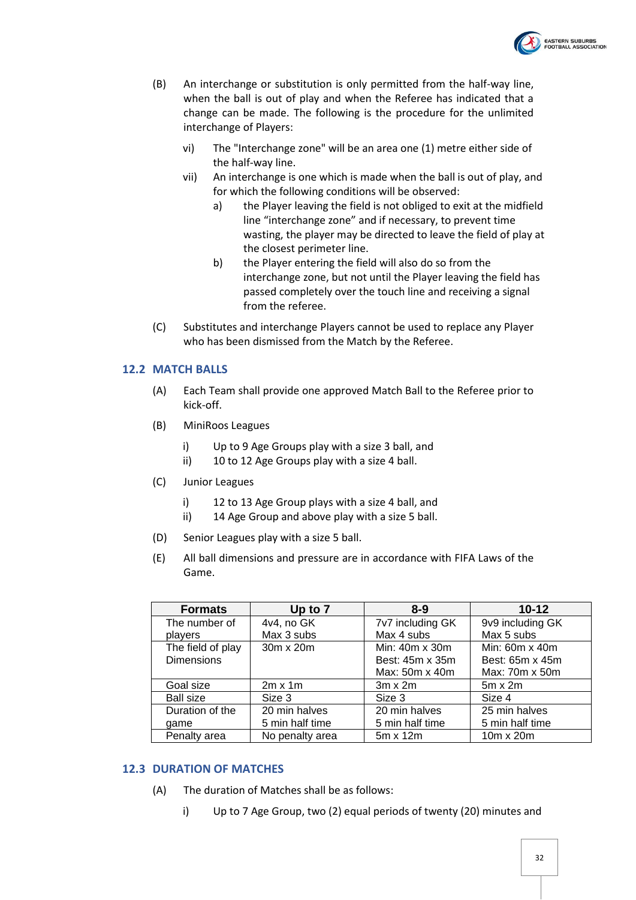

- (B) An interchange or substitution is only permitted from the half-way line, when the ball is out of play and when the Referee has indicated that a change can be made. The following is the procedure for the unlimited interchange of Players:
	- vi) The "Interchange zone" will be an area one (1) metre either side of the half-way line.
	- vii) An interchange is one which is made when the ball is out of play, and for which the following conditions will be observed:
		- a) the Player leaving the field is not obliged to exit at the midfield line "interchange zone" and if necessary, to prevent time wasting, the player may be directed to leave the field of play at the closest perimeter line.
		- b) the Player entering the field will also do so from the interchange zone, but not until the Player leaving the field has passed completely over the touch line and receiving a signal from the referee.
- (C) Substitutes and interchange Players cannot be used to replace any Player who has been dismissed from the Match by the Referee.

#### <span id="page-31-0"></span>**12.2 MATCH BALLS**

- (A) Each Team shall provide one approved Match Ball to the Referee prior to kick-off.
- (B) MiniRoos Leagues
	- i) Up to 9 Age Groups play with a size 3 ball, and
	- ii) 10 to 12 Age Groups play with a size 4 ball.
- (C) Junior Leagues
	- i) 12 to 13 Age Group plays with a size 4 ball, and
	- ii) 14 Age Group and above play with a size 5 ball.
- (D) Senior Leagues play with a size 5 ball.
- (E) All ball dimensions and pressure are in accordance with FIFA Laws of the Game.

| <b>Formats</b>    | Up to 7         | $8-9$                 | $10 - 12$        |
|-------------------|-----------------|-----------------------|------------------|
| The number of     | 4v4, no GK      | 7v7 including GK      | 9v9 including GK |
| players           | Max 3 subs      | Max 4 subs            | Max 5 subs       |
| The field of play | 30m x 20m       | Min: $40m \times 30m$ | Min: 60m x 40m   |
| <b>Dimensions</b> |                 | Best: 45m x 35m       | Best: 65m x 45m  |
|                   |                 | Max: 50m x 40m        | Max: 70m x 50m   |
| Goal size         | $2m \times 1m$  | $3m \times 2m$        | $5m \times 2m$   |
| Ball size         | Size 3          | Size 3                | Size 4           |
| Duration of the   | 20 min halves   | 20 min halves         | 25 min halves    |
| qame              | 5 min half time | 5 min half time       | 5 min half time  |
| Penalty area      | No penalty area | 5m x 12m              | $10m \times 20m$ |

#### <span id="page-31-2"></span><span id="page-31-1"></span>**12.3 DURATION OF MATCHES**

- (A) The duration of Matches shall be as follows:
	- i) Up to 7 Age Group, two (2) equal periods of twenty (20) minutes and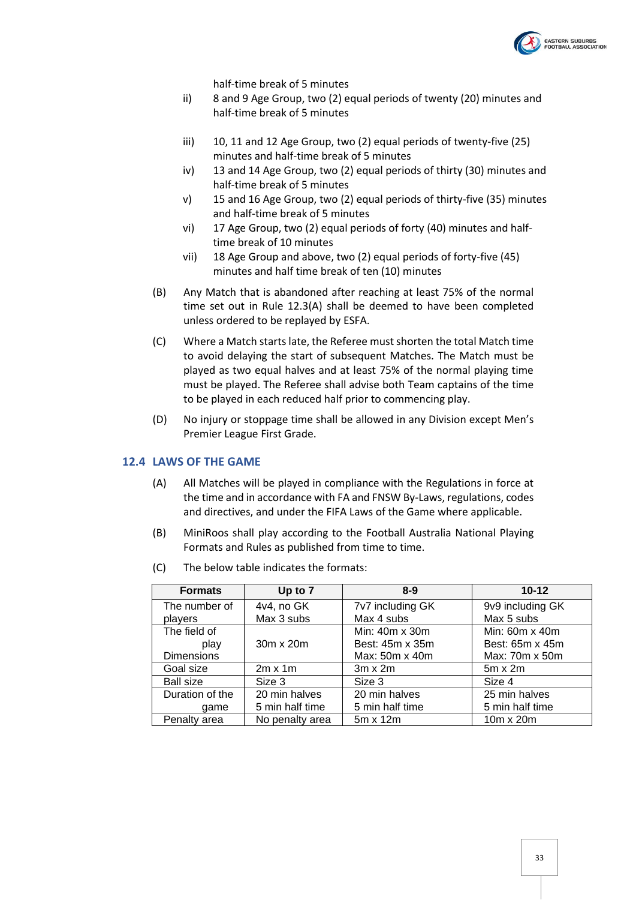

half-time break of 5 minutes

- ii) 8 and 9 Age Group, two (2) equal periods of twenty (20) minutes and half-time break of 5 minutes
- iii) 10, 11 and 12 Age Group, two (2) equal periods of twenty-five (25) minutes and half-time break of 5 minutes
- iv) 13 and 14 Age Group, two (2) equal periods of thirty (30) minutes and half-time break of 5 minutes
- v) 15 and 16 Age Group, two (2) equal periods of thirty-five (35) minutes and half-time break of 5 minutes
- vi) 17 Age Group, two (2) equal periods of forty (40) minutes and halftime break of 10 minutes
- vii) 18 Age Group and above, two (2) equal periods of forty-five (45) minutes and half time break of ten (10) minutes
- (B) Any Match that is abandoned after reaching at least 75% of the normal time set out in Rule [12.3\(A\)](#page-31-2) shall be deemed to have been completed unless ordered to be replayed by ESFA.
- (C) Where a Match starts late, the Referee must shorten the total Match time to avoid delaying the start of subsequent Matches. The Match must be played as two equal halves and at least 75% of the normal playing time must be played. The Referee shall advise both Team captains of the time to be played in each reduced half prior to commencing play.
- (D) No injury or stoppage time shall be allowed in any Division except Men's Premier League First Grade.

#### <span id="page-32-0"></span>**12.4 LAWS OF THE GAME**

- (A) All Matches will be played in compliance with the Regulations in force at the time and in accordance with FA and FNSW By-Laws, regulations, codes and directives, and under the FIFA Laws of the Game where applicable.
- (B) MiniRoos shall play according to the Football Australia National Playing Formats and Rules as published from time to time.

| <b>Formats</b>    | Up to 7         | $8 - 9$          | $10 - 12$             |
|-------------------|-----------------|------------------|-----------------------|
| The number of     | 4v4, no GK      | 7v7 including GK | 9v9 including GK      |
| players           | Max 3 subs      | Max 4 subs       | Max 5 subs            |
| The field of      |                 | Min: 40m x 30m   | Min: $60m \times 40m$ |
| play              | 30m x 20m       | Best: 45m x 35m  | Best: 65m x 45m       |
| <b>Dimensions</b> |                 | Max: 50m x 40m   | Max: 70m x 50m        |
| Goal size         | $2m \times 1m$  | $3m \times 2m$   | $5m \times 2m$        |
| <b>Ball size</b>  | Size 3          | Size 3           | Size 4                |
| Duration of the   | 20 min halves   | 20 min halves    | 25 min halves         |
| qame              | 5 min half time | 5 min half time  | 5 min half time       |
| Penalty area      | No penalty area | 5m x 12m         | $10m \times 20m$      |

(C) The below table indicates the formats: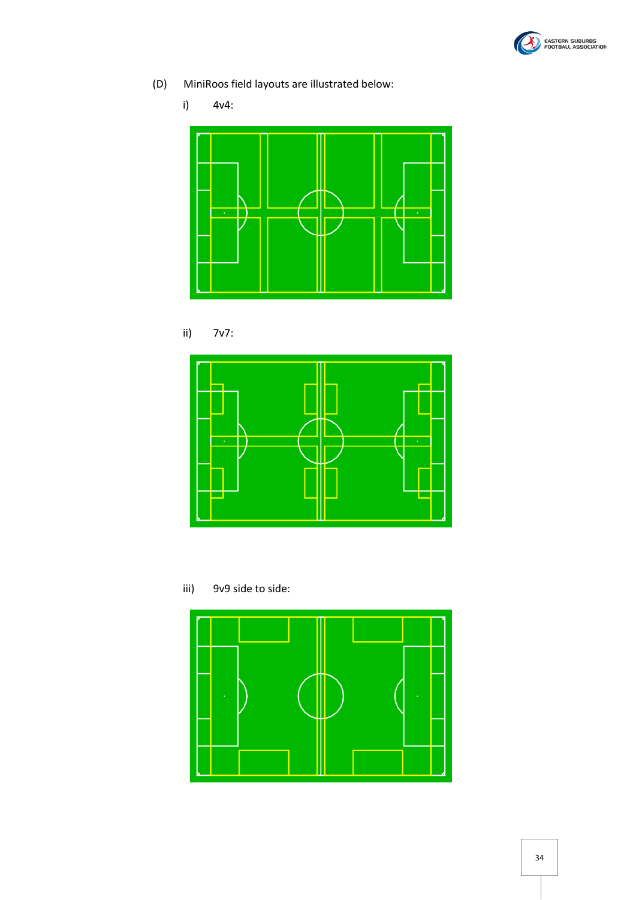

(D) MiniRoos field layouts are illustrated below:

i) 4v4:







iii) 9v9 side to side:

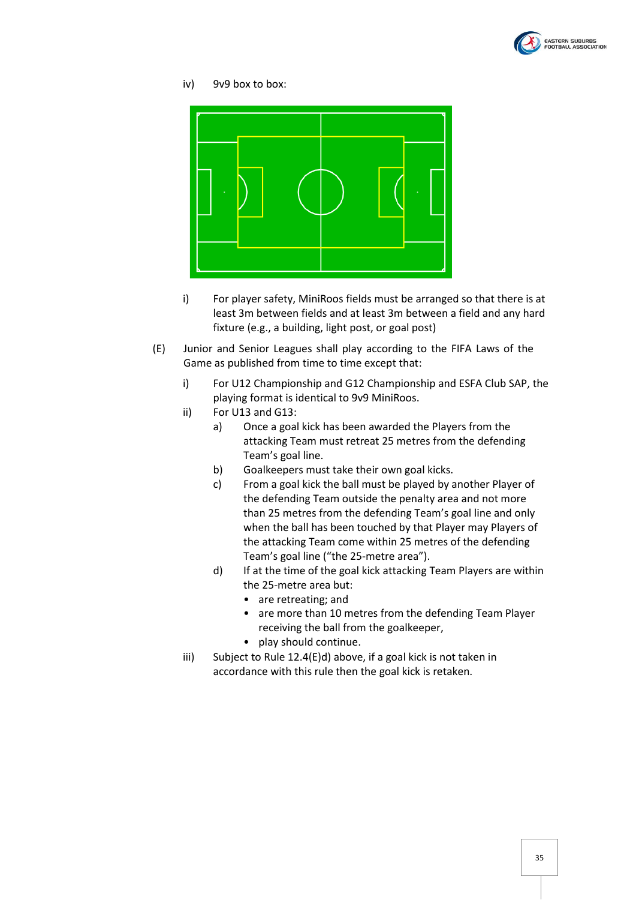

#### iv) 9v9 box to box:



- i) For player safety, MiniRoos fields must be arranged so that there is at least 3m between fields and at least 3m between a field and any hard fixture (e.g., a building, light post, or goal post)
- <span id="page-34-0"></span>(E) Junior and Senior Leagues shall play according to the FIFA Laws of the Game as published from time to time except that:
	- i) For U12 Championship and G12 Championship and ESFA Club SAP, the playing format is identical to 9v9 MiniRoos.
	- ii) For U13 and G13:
		- a) Once a goal kick has been awarded the Players from the attacking Team must retreat 25 metres from the defending Team's goal line.
		- b) Goalkeepers must take their own goal kicks.
		- c) From a goal kick the ball must be played by another Player of the defending Team outside the penalty area and not more than 25 metres from the defending Team's goal line and only when the ball has been touched by that Player may Players of the attacking Team come within 25 metres of the defending Team's goal line ("the 25-metre area").
		- d) If at the time of the goal kick attacking Team Players are within the 25-metre area but:
			- are retreating; and
			- are more than 10 metres from the defending Team Player receiving the ball from the goalkeeper,
			- play should continue.
	- iii) Subject to Rule [12.4\(E\)d\)](#page-34-0) above, if a goal kick is not taken in accordance with this rule then the goal kick is retaken.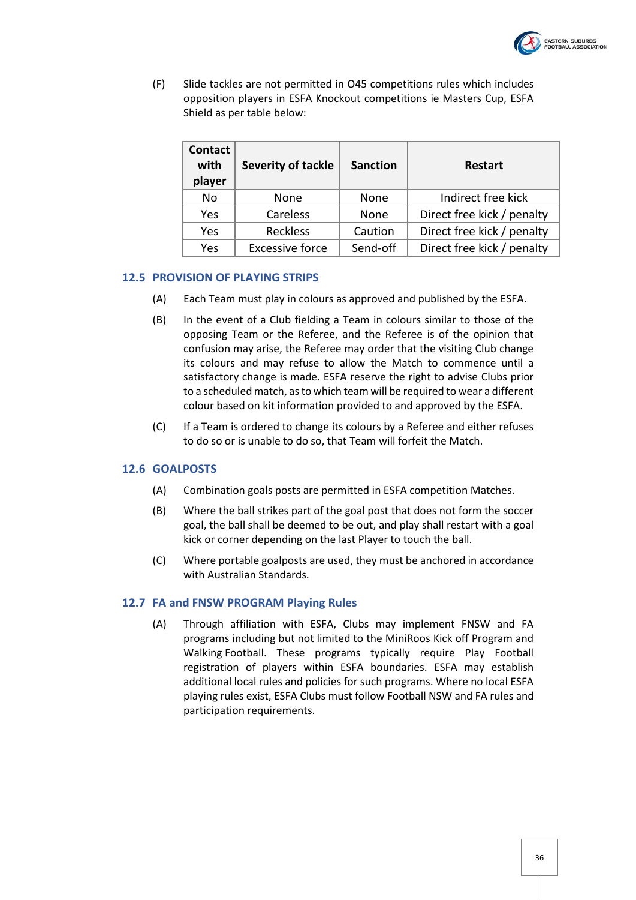

(F) Slide tackles are not permitted in O45 competitions rules which includes opposition players in ESFA Knockout competitions ie Masters Cup, ESFA Shield as per table below:

| <b>Contact</b><br>with<br>player | <b>Severity of tackle</b> | <b>Sanction</b> | Restart                    |
|----------------------------------|---------------------------|-----------------|----------------------------|
| No                               | None                      | None            | Indirect free kick         |
| Yes                              | Careless                  | None            | Direct free kick / penalty |
| Yes                              | Reckless                  | Caution         | Direct free kick / penalty |
| Yes                              | <b>Excessive force</b>    | Send-off        | Direct free kick / penalty |

#### <span id="page-35-0"></span>**12.5 PROVISION OF PLAYING STRIPS**

- (A) Each Team must play in colours as approved and published by the ESFA.
- (B) In the event of a Club fielding a Team in colours similar to those of the opposing Team or the Referee, and the Referee is of the opinion that confusion may arise, the Referee may order that the visiting Club change its colours and may refuse to allow the Match to commence until a satisfactory change is made. ESFA reserve the right to advise Clubs prior to a scheduled match, as to which team will be required to wear a different colour based on kit information provided to and approved by the ESFA.
- (C) If a Team is ordered to change its colours by a Referee and either refuses to do so or is unable to do so, that Team will forfeit the Match.

#### <span id="page-35-1"></span>**12.6 GOALPOSTS**

- (A) Combination goals posts are permitted in ESFA competition Matches.
- (B) Where the ball strikes part of the goal post that does not form the soccer goal, the ball shall be deemed to be out, and play shall restart with a goal kick or corner depending on the last Player to touch the ball.
- (C) Where portable goalposts are used, they must be anchored in accordance with Australian Standards.

#### <span id="page-35-2"></span>**12.7 FA and FNSW PROGRAM Playing Rules**

(A) Through affiliation with ESFA, Clubs may implement FNSW and FA programs including but not limited to the MiniRoos Kick off Program and Walking Football. These programs typically require Play Football registration of players within ESFA boundaries. ESFA may establish additional local rules and policies for such programs. Where no local ESFA playing rules exist, ESFA Clubs must follow Football NSW and FA rules and participation requirements.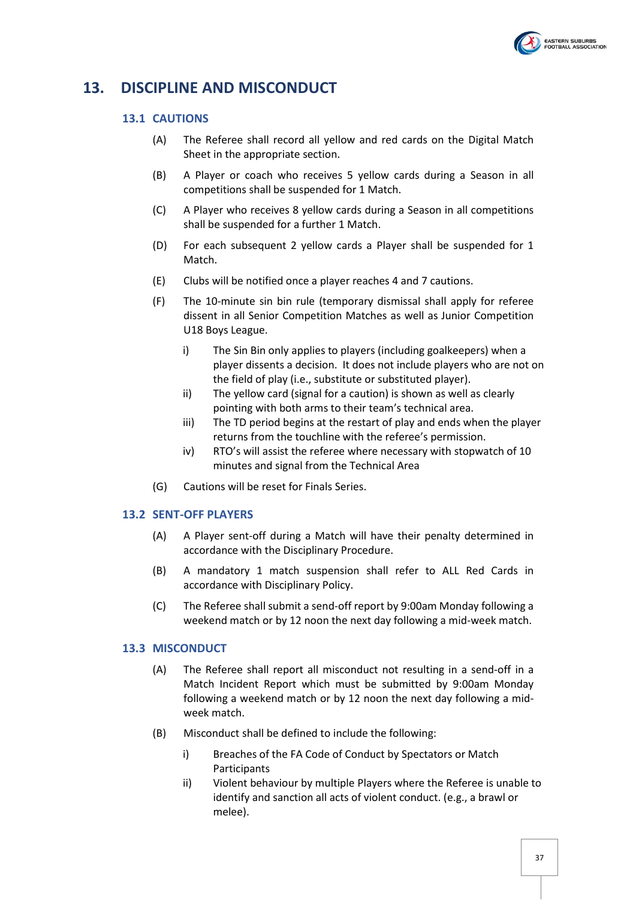

# <span id="page-36-1"></span><span id="page-36-0"></span>**13. DISCIPLINE AND MISCONDUCT**

#### **13.1 CAUTIONS**

- (A) The Referee shall record all yellow and red cards on the Digital Match Sheet in the appropriate section.
- (B) A Player or coach who receives 5 yellow cards during a Season in all competitions shall be suspended for 1 Match.
- (C) A Player who receives 8 yellow cards during a Season in all competitions shall be suspended for a further 1 Match.
- (D) For each subsequent 2 yellow cards a Player shall be suspended for 1 Match.
- (E) Clubs will be notified once a player reaches 4 and 7 cautions.
- (F) The 10-minute sin bin rule (temporary dismissal shall apply for referee dissent in all Senior Competition Matches as well as Junior Competition U18 Boys League.
	- i) The Sin Bin only applies to players (including goalkeepers) when a player dissents a decision. It does not include players who are not on the field of play (i.e., substitute or substituted player).
	- ii) The yellow card (signal for a caution) is shown as well as clearly pointing with both arms to their team's technical area.
	- iii) The TD period begins at the restart of play and ends when the player returns from the touchline with the referee's permission.
	- iv) RTO's will assist the referee where necessary with stopwatch of 10 minutes and signal from the Technical Area
- (G) Cautions will be reset for Finals Series.

#### <span id="page-36-2"></span>**13.2 SENT-OFF PLAYERS**

- (A) A Player sent-off during a Match will have their penalty determined in accordance with the Disciplinary Procedure.
- (B) A mandatory 1 match suspension shall refer to ALL Red Cards in accordance with Disciplinary Policy.
- (C) The Referee shall submit a send-off report by 9:00am Monday following a weekend match or by 12 noon the next day following a mid-week match.

#### <span id="page-36-3"></span>**13.3 MISCONDUCT**

- (A) The Referee shall report all misconduct not resulting in a send-off in a Match Incident Report which must be submitted by 9:00am Monday following a weekend match or by 12 noon the next day following a midweek match.
- (B) Misconduct shall be defined to include the following:
	- i) Breaches of the FA Code of Conduct by Spectators or Match Participants
	- ii) Violent behaviour by multiple Players where the Referee is unable to identify and sanction all acts of violent conduct. (e.g., a brawl or melee).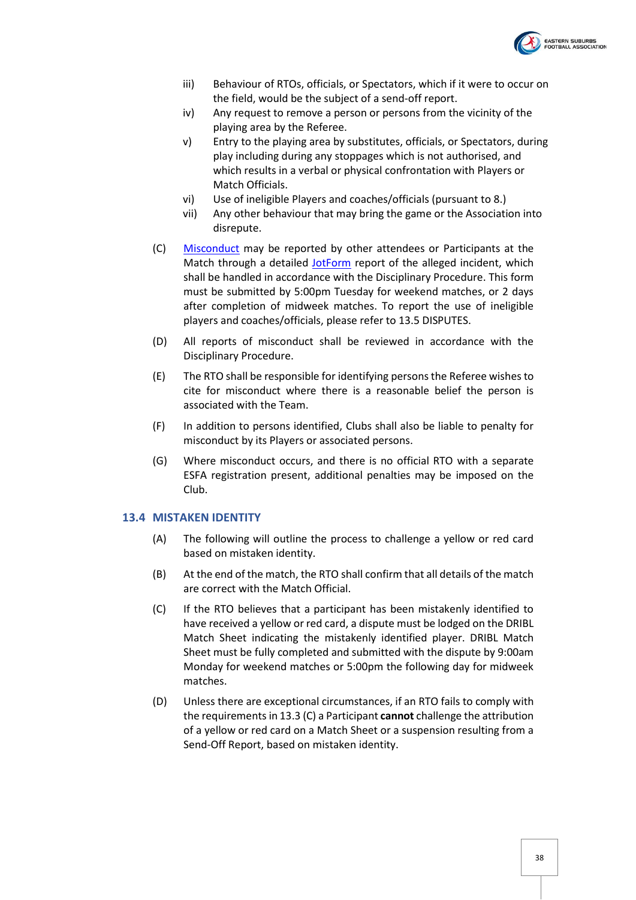

- iii) Behaviour of RTOs, officials, or Spectators, which if it were to occur on the field, would be the subject of a send-off report.
- iv) Any request to remove a person or persons from the vicinity of the playing area by the Referee.
- v) Entry to the playing area by substitutes, officials, or Spectators, during play including during any stoppages which is not authorised, and which results in a verbal or physical confrontation with Players or Match Officials.
- vi) Use of ineligible Players and coaches/officials (pursuant to 8.)
- vii) Any other behaviour that may bring the game or the Association into disrepute.
- (C) [Misconduct](https://form.jotform.com/213269487108866) may be reported by other attendees or Participants at the Match through a detailed [JotForm](https://form.jotform.com/213269487108866) report of the alleged incident, which shall be handled in accordance with the Disciplinary Procedure. This form must be submitted by 5:00pm Tuesday for weekend matches, or 2 days after completion of midweek matches. To report the use of ineligible players and coaches/officials, please refer to 13.5 DISPUTES.
- (D) All reports of misconduct shall be reviewed in accordance with the Disciplinary Procedure.
- (E) The RTO shall be responsible for identifying persons the Referee wishes to cite for misconduct where there is a reasonable belief the person is associated with the Team.
- (F) In addition to persons identified, Clubs shall also be liable to penalty for misconduct by its Players or associated persons.
- (G) Where misconduct occurs, and there is no official RTO with a separate ESFA registration present, additional penalties may be imposed on the Club.

#### <span id="page-37-0"></span>**13.4 MISTAKEN IDENTITY**

- (A) The following will outline the process to challenge a yellow or red card based on mistaken identity.
- (B) At the end of the match, the RTO shall confirm that all details of the match are correct with the Match Official.
- (C) If the RTO believes that a participant has been mistakenly identified to have received a yellow or red card, a dispute must be lodged on the DRIBL Match Sheet indicating the mistakenly identified player. DRIBL Match Sheet must be fully completed and submitted with the dispute by 9:00am Monday for weekend matches or 5:00pm the following day for midweek matches.
- (D) Unless there are exceptional circumstances, if an RTO fails to comply with the requirements in 13.3 (C) a Participant **cannot** challenge the attribution of a yellow or red card on a Match Sheet or a suspension resulting from a Send-Off Report, based on mistaken identity.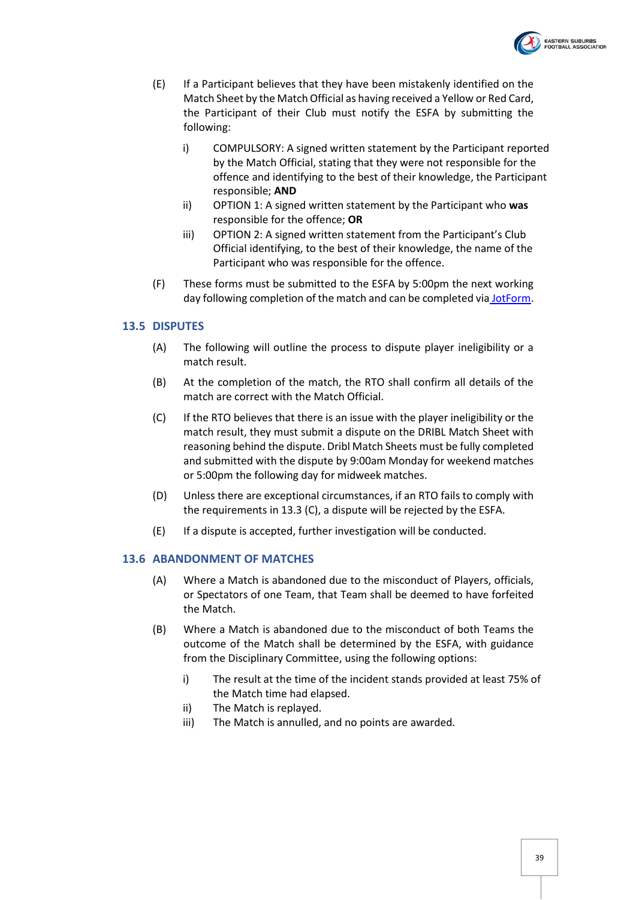

- (E) If a Participant believes that they have been mistakenly identified on the Match Sheet by the Match Official as having received a Yellow or Red Card, the Participant of their Club must notify the ESFA by submitting the following:
	- i) COMPULSORY: A signed written statement by the Participant reported by the Match Official, stating that they were not responsible for the offence and identifying to the best of their knowledge, the Participant responsible; **AND**
	- ii) OPTION 1: A signed written statement by the Participant who **was** responsible for the offence; **OR**
	- iii) OPTION 2: A signed written statement from the Participant's Club Official identifying, to the best of their knowledge, the name of the Participant who was responsible for the offence.
- (F) These forms must be submitted to the ESFA by 5:00pm the next working day following completion of the match and can be completed via [JotForm.](https://form.jotform.com/220820924342853)

#### <span id="page-38-0"></span>**13.5 DISPUTES**

- (A) The following will outline the process to dispute player ineligibility or a match result.
- (B) At the completion of the match, the RTO shall confirm all details of the match are correct with the Match Official.
- (C) If the RTO believes that there is an issue with the player ineligibility or the match result, they must submit a dispute on the DRIBL Match Sheet with reasoning behind the dispute. Dribl Match Sheets must be fully completed and submitted with the dispute by 9:00am Monday for weekend matches or 5:00pm the following day for midweek matches.
- (D) Unless there are exceptional circumstances, if an RTO fails to comply with the requirements in 13.3 (C), a dispute will be rejected by the ESFA.
- (E) If a dispute is accepted, further investigation will be conducted.

#### <span id="page-38-1"></span>**13.6 ABANDONMENT OF MATCHES**

- (A) Where a Match is abandoned due to the misconduct of Players, officials, or Spectators of one Team, that Team shall be deemed to have forfeited the Match.
- (B) Where a Match is abandoned due to the misconduct of both Teams the outcome of the Match shall be determined by the ESFA, with guidance from the Disciplinary Committee, using the following options:
	- i) The result at the time of the incident stands provided at least 75% of the Match time had elapsed.
	- ii) The Match is replayed.
	- iii) The Match is annulled, and no points are awarded.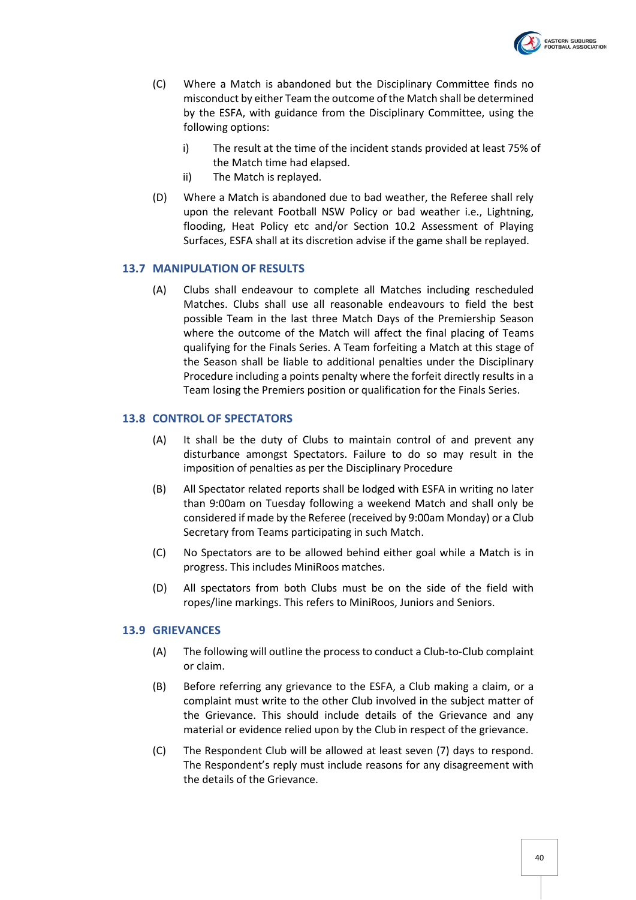

- (C) Where a Match is abandoned but the Disciplinary Committee finds no misconduct by either Team the outcome of the Match shall be determined by the ESFA, with guidance from the Disciplinary Committee, using the following options:
	- i) The result at the time of the incident stands provided at least 75% of the Match time had elapsed.
	- ii) The Match is replayed.
- (D) Where a Match is abandoned due to bad weather, the Referee shall rely upon the relevant Football NSW Policy or bad weather i.e., Lightning, flooding, Heat Policy etc and/or Section 10.2 Assessment of Playing Surfaces, ESFA shall at its discretion advise if the game shall be replayed.

#### <span id="page-39-0"></span>**13.7 MANIPULATION OF RESULTS**

(A) Clubs shall endeavour to complete all Matches including rescheduled Matches. Clubs shall use all reasonable endeavours to field the best possible Team in the last three Match Days of the Premiership Season where the outcome of the Match will affect the final placing of Teams qualifying for the Finals Series. A Team forfeiting a Match at this stage of the Season shall be liable to additional penalties under the Disciplinary Procedure including a points penalty where the forfeit directly results in a Team losing the Premiers position or qualification for the Finals Series.

#### <span id="page-39-1"></span>**13.8 CONTROL OF SPECTATORS**

- (A) It shall be the duty of Clubs to maintain control of and prevent any disturbance amongst Spectators. Failure to do so may result in the imposition of penalties as per the Disciplinary Procedure
- (B) All Spectator related reports shall be lodged with ESFA in writing no later than 9:00am on Tuesday following a weekend Match and shall only be considered if made by the Referee (received by 9:00am Monday) or a Club Secretary from Teams participating in such Match.
- (C) No Spectators are to be allowed behind either goal while a Match is in progress. This includes MiniRoos matches.
- (D) All spectators from both Clubs must be on the side of the field with ropes/line markings. This refers to MiniRoos, Juniors and Seniors.

#### <span id="page-39-2"></span>**13.9 GRIEVANCES**

- (A) The following will outline the process to conduct a Club-to-Club complaint or claim.
- (B) Before referring any grievance to the ESFA, a Club making a claim, or a complaint must write to the other Club involved in the subject matter of the Grievance. This should include details of the Grievance and any material or evidence relied upon by the Club in respect of the grievance.
- (C) The Respondent Club will be allowed at least seven (7) days to respond. The Respondent's reply must include reasons for any disagreement with the details of the Grievance.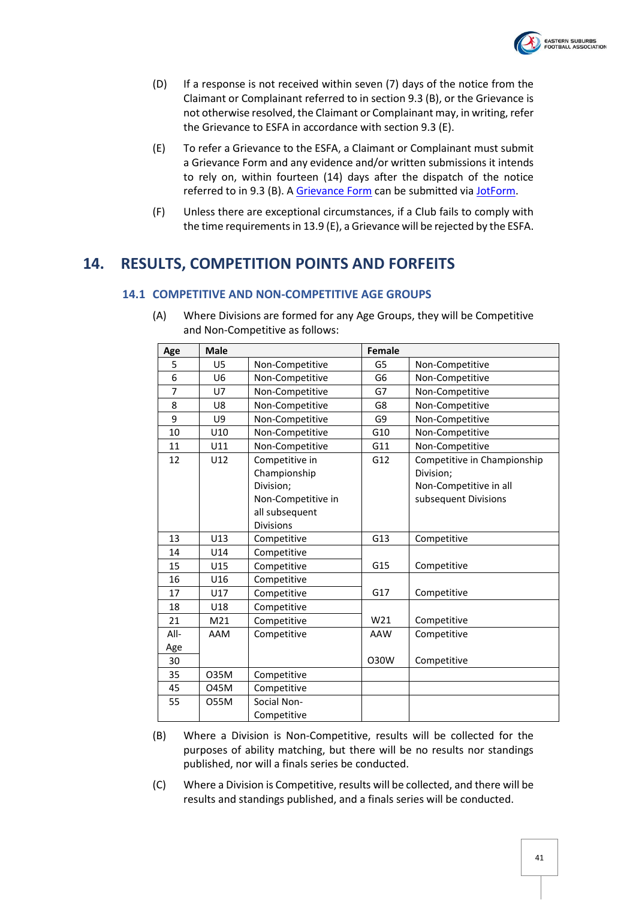

- (D) If a response is not received within seven (7) days of the notice from the Claimant or Complainant referred to in section 9.3 (B), or the Grievance is not otherwise resolved, the Claimant or Complainant may, in writing, refer the Grievance to ESFA in accordance with section 9.3 (E).
- (E) To refer a Grievance to the ESFA, a Claimant or Complainant must submit a Grievance Form and any evidence and/or written submissions it intends to rely on, within fourteen (14) days after the dispatch of the notice referred to in 9.3 (B). A [Grievance Form](https://form.jotform.com/220798230398868) can be submitted via [JotForm.](https://form.jotform.com/220798230398868)
- (F) Unless there are exceptional circumstances, if a Club fails to comply with the time requirements in 13.9 (E), a Grievance will be rejected by the ESFA.

# <span id="page-40-1"></span><span id="page-40-0"></span>**14. RESULTS, COMPETITION POINTS AND FORFEITS**

#### **14.1 COMPETITIVE AND NON-COMPETITIVE AGE GROUPS**

| Age  | <b>Male</b>     |                    | Female         |                             |
|------|-----------------|--------------------|----------------|-----------------------------|
| 5    | U5              | Non-Competitive    | G5             | Non-Competitive             |
| 6    | U <sub>6</sub>  | Non-Competitive    | G <sub>6</sub> | Non-Competitive             |
| 7    | U7              | Non-Competitive    | G7             | Non-Competitive             |
| 8    | U8              | Non-Competitive    | G8             | Non-Competitive             |
| 9    | U9              | Non-Competitive    | G9             | Non-Competitive             |
| 10   | U10             | Non-Competitive    | G10            | Non-Competitive             |
| 11   | U11             | Non-Competitive    | G11            | Non-Competitive             |
| 12   | U12             | Competitive in     | G12            | Competitive in Championship |
|      |                 | Championship       |                | Division;                   |
|      |                 | Division;          |                | Non-Competitive in all      |
|      |                 | Non-Competitive in |                | subsequent Divisions        |
|      |                 | all subsequent     |                |                             |
|      |                 | <b>Divisions</b>   |                |                             |
| 13   | U13             | Competitive        | G13            | Competitive                 |
| 14   | U14             | Competitive        |                |                             |
| 15   | U15             | Competitive        | G15            | Competitive                 |
| 16   | U16             | Competitive        |                |                             |
| 17   | U17             | Competitive        | G17            | Competitive                 |
| 18   | U18             | Competitive        |                |                             |
| 21   | M <sub>21</sub> | Competitive        | W21            | Competitive                 |
| All- | AAM             | Competitive        | AAW            | Competitive                 |
| Age  |                 |                    |                |                             |
| 30   |                 |                    | <b>O30W</b>    | Competitive                 |
| 35   | 035M            | Competitive        |                |                             |
| 45   | 045M            | Competitive        |                |                             |
| 55   | 055M            | Social Non-        |                |                             |
|      |                 | Competitive        |                |                             |

(A) Where Divisions are formed for any Age Groups, they will be Competitive and Non-Competitive as follows:

- (B) Where a Division is Non-Competitive, results will be collected for the purposes of ability matching, but there will be no results nor standings published, nor will a finals series be conducted.
- (C) Where a Division is Competitive, results will be collected, and there will be results and standings published, and a finals series will be conducted.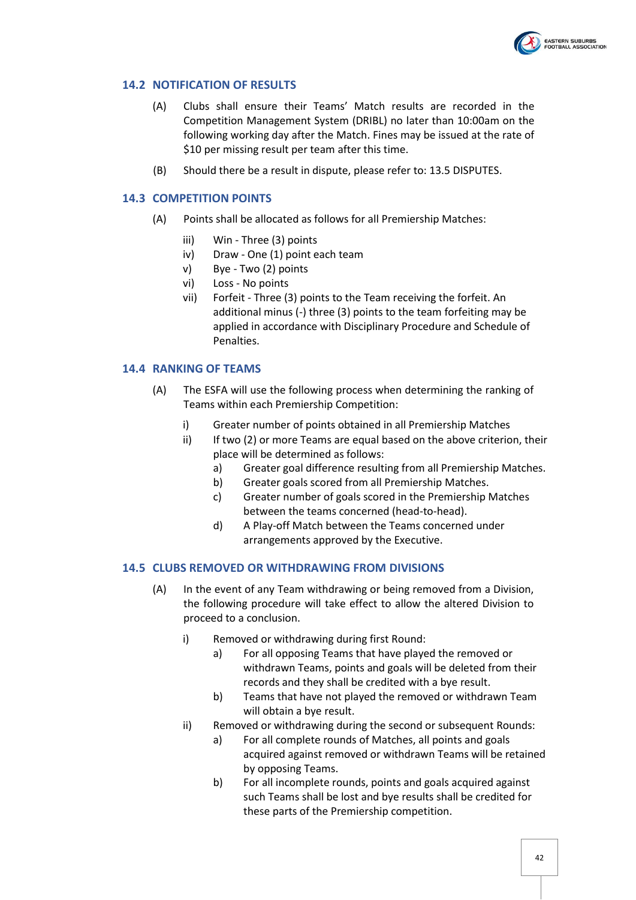

#### <span id="page-41-4"></span><span id="page-41-0"></span>**14.2 NOTIFICATION OF RESULTS**

- (A) Clubs shall ensure their Teams' Match results are recorded in the Competition Management System (DRIBL) no later than 10:00am on the following working day after the Match. Fines may be issued at the rate of \$10 per missing result per team after this time.
- (B) Should there be a result in dispute, please refer to: 13.5 DISPUTES.

#### <span id="page-41-1"></span>**14.3 COMPETITION POINTS**

- (A) Points shall be allocated as follows for all Premiership Matches:
	- iii) Win Three (3) points
	- iv) Draw One (1) point each team
	- v) Bye Two (2) points
	- vi) Loss No points
	- vii) Forfeit Three (3) points to the Team receiving the forfeit. An additional minus (-) three (3) points to the team forfeiting may be applied in accordance with Disciplinary Procedure and Schedule of Penalties.

#### <span id="page-41-2"></span>**14.4 RANKING OF TEAMS**

- (A) The ESFA will use the following process when determining the ranking of Teams within each Premiership Competition:
	- i) Greater number of points obtained in all Premiership Matches
	- ii) If two (2) or more Teams are equal based on the above criterion, their place will be determined as follows:
		- a) Greater goal difference resulting from all Premiership Matches.
		- b) Greater goals scored from all Premiership Matches.
		- c) Greater number of goals scored in the Premiership Matches between the teams concerned (head-to-head).
		- d) A Play-off Match between the Teams concerned under arrangements approved by the Executive.

#### <span id="page-41-3"></span>**14.5 CLUBS REMOVED OR WITHDRAWING FROM DIVISIONS**

- (A) In the event of any Team withdrawing or being removed from a Division, the following procedure will take effect to allow the altered Division to proceed to a conclusion.
	- i) Removed or withdrawing during first Round:
		- a) For all opposing Teams that have played the removed or withdrawn Teams, points and goals will be deleted from their records and they shall be credited with a bye result.
		- b) Teams that have not played the removed or withdrawn Team will obtain a bye result.
	- ii) Removed or withdrawing during the second or subsequent Rounds:
		- a) For all complete rounds of Matches, all points and goals acquired against removed or withdrawn Teams will be retained by opposing Teams.
		- b) For all incomplete rounds, points and goals acquired against such Teams shall be lost and bye results shall be credited for these parts of the Premiership competition.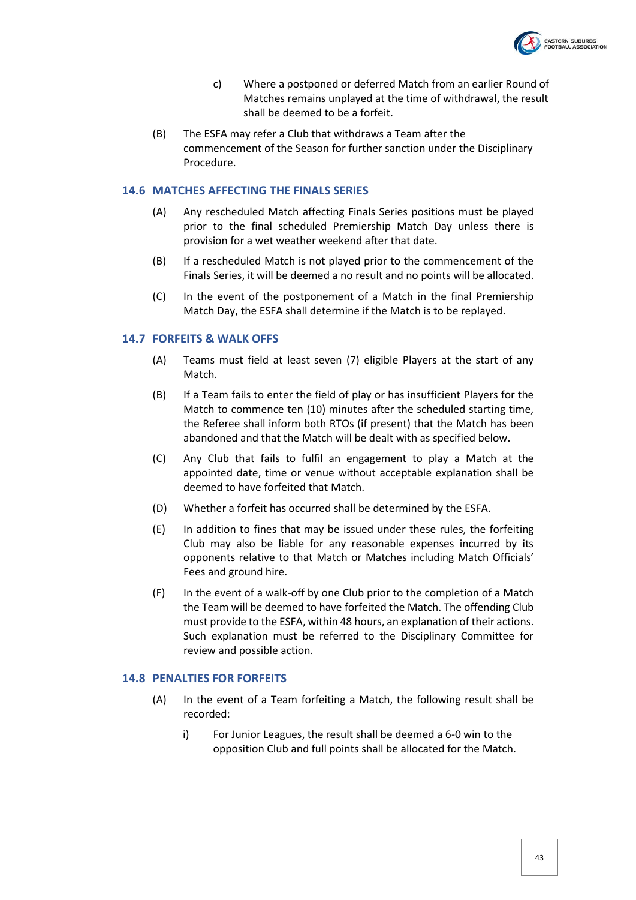

- c) Where a postponed or deferred Match from an earlier Round of Matches remains unplayed at the time of withdrawal, the result shall be deemed to be a forfeit.
- (B) The ESFA may refer a Club that withdraws a Team after the commencement of the Season for further sanction under the Disciplinary Procedure.

#### <span id="page-42-0"></span>**14.6 MATCHES AFFECTING THE FINALS SERIES**

- (A) Any rescheduled Match affecting Finals Series positions must be played prior to the final scheduled Premiership Match Day unless there is provision for a wet weather weekend after that date.
- (B) If a rescheduled Match is not played prior to the commencement of the Finals Series, it will be deemed a no result and no points will be allocated.
- (C) In the event of the postponement of a Match in the final Premiership Match Day, the ESFA shall determine if the Match is to be replayed.

#### <span id="page-42-1"></span>**14.7 FORFEITS & WALK OFFS**

- (A) Teams must field at least seven (7) eligible Players at the start of any Match.
- (B) If a Team fails to enter the field of play or has insufficient Players for the Match to commence ten (10) minutes after the scheduled starting time, the Referee shall inform both RTOs (if present) that the Match has been abandoned and that the Match will be dealt with as specified below.
- (C) Any Club that fails to fulfil an engagement to play a Match at the appointed date, time or venue without acceptable explanation shall be deemed to have forfeited that Match.
- (D) Whether a forfeit has occurred shall be determined by the ESFA.
- (E) In addition to fines that may be issued under these rules, the forfeiting Club may also be liable for any reasonable expenses incurred by its opponents relative to that Match or Matches including Match Officials' Fees and ground hire.
- (F) In the event of a walk-off by one Club prior to the completion of a Match the Team will be deemed to have forfeited the Match. The offending Club must provide to the ESFA, within 48 hours, an explanation of their actions. Such explanation must be referred to the Disciplinary Committee for review and possible action.

#### <span id="page-42-2"></span>**14.8 PENALTIES FOR FORFEITS**

- (A) In the event of a Team forfeiting a Match, the following result shall be recorded:
	- i) For Junior Leagues, the result shall be deemed a 6-0 win to the opposition Club and full points shall be allocated for the Match.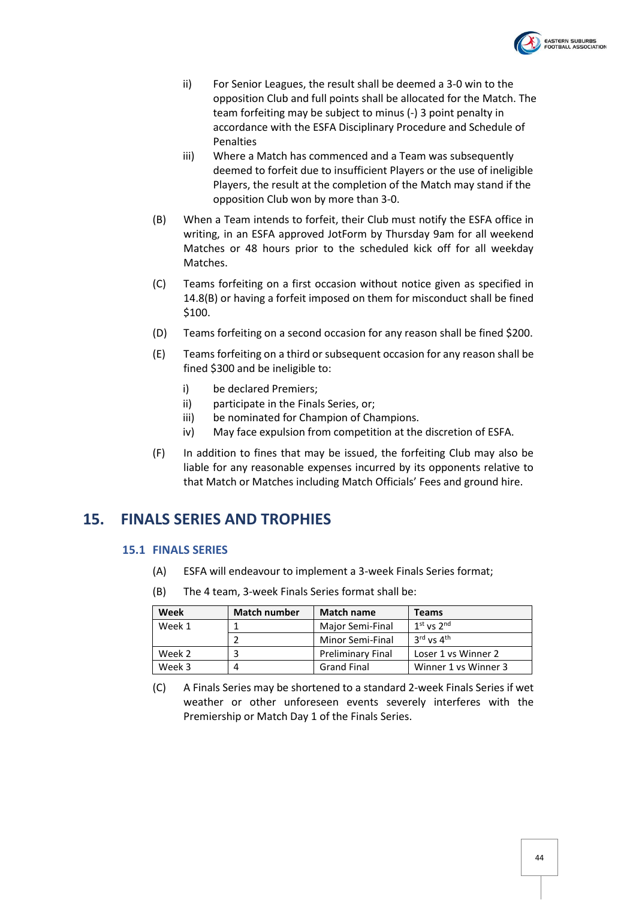

- ii) For Senior Leagues, the result shall be deemed a 3-0 win to the opposition Club and full points shall be allocated for the Match. The team forfeiting may be subject to minus (-) 3 point penalty in accordance with the ESFA Disciplinary Procedure and Schedule of Penalties
- iii) Where a Match has commenced and a Team was subsequently deemed to forfeit due to insufficient Players or the use of ineligible Players, the result at the completion of the Match may stand if the opposition Club won by more than 3-0.
- <span id="page-43-2"></span>(B) When a Team intends to forfeit, their Club must notify the ESFA office in writing, in an ESFA approved JotForm by Thursday 9am for all weekend Matches or 48 hours prior to the scheduled kick off for all weekday Matches.
- <span id="page-43-3"></span>(C) Teams forfeiting on a first occasion without notice given as specified in [14.8\(B\)](#page-43-2) or having a forfeit imposed on them for misconduct shall be fined \$100.
- <span id="page-43-4"></span>(D) Teams forfeiting on a second occasion for any reason shall be fined \$200.
- <span id="page-43-5"></span>(E) Teams forfeiting on a third or subsequent occasion for any reason shall be fined \$300 and be ineligible to:
	- i) be declared Premiers;
	- ii) participate in the Finals Series, or;
	- iii) be nominated for Champion of Champions.
	- iv) May face expulsion from competition at the discretion of ESFA.
- (F) In addition to fines that may be issued, the forfeiting Club may also be liable for any reasonable expenses incurred by its opponents relative to that Match or Matches including Match Officials' Fees and ground hire.

# <span id="page-43-1"></span><span id="page-43-0"></span>**15. FINALS SERIES AND TROPHIES**

#### **15.1 FINALS SERIES**

- (A) ESFA will endeavour to implement a 3-week Finals Series format;
- (B) The 4 team, 3-week Finals Series format shall be:

| Week   | <b>Match number</b> | <b>Match name</b>        | <b>Teams</b>                       |
|--------|---------------------|--------------------------|------------------------------------|
| Week 1 |                     | Major Semi-Final         | $1st$ vs $2nd$                     |
|        |                     | Minor Semi-Final         | $3^{\text{rd}}$ vs $4^{\text{th}}$ |
| Week 2 |                     | <b>Preliminary Final</b> | Loser 1 vs Winner 2                |
| Week 3 | 4                   | <b>Grand Final</b>       | Winner 1 vs Winner 3               |

(C) A Finals Series may be shortened to a standard 2-week Finals Series if wet weather or other unforeseen events severely interferes with the Premiership or Match Day 1 of the Finals Series.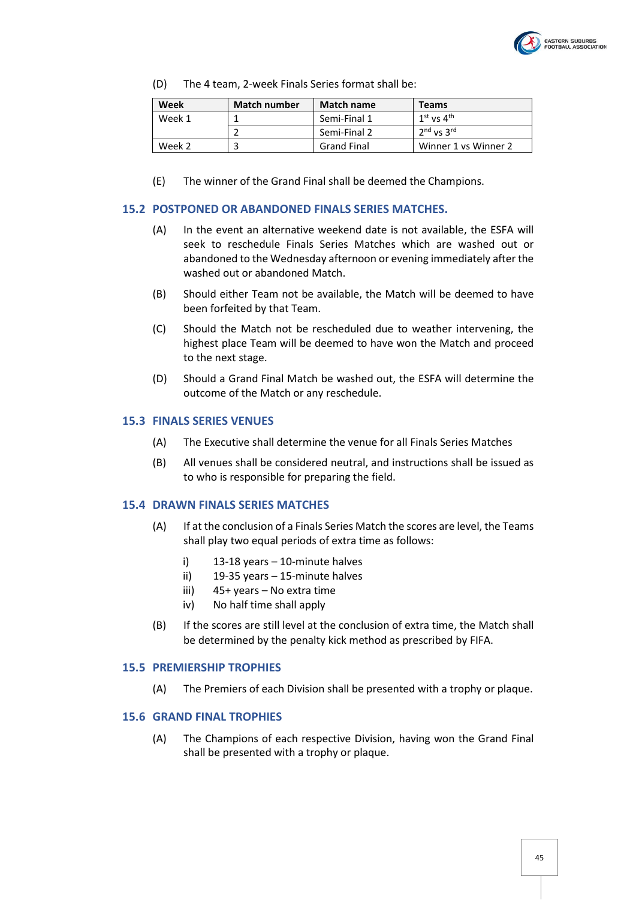

(D) The 4 team, 2-week Finals Series format shall be:

| Week   | <b>Match number</b> | <b>Match name</b>  | <b>Teams</b>         |
|--------|---------------------|--------------------|----------------------|
| Week 1 |                     | Semi-Final 1       | $1st$ vs $4th$       |
|        |                     | Semi-Final 2       | $2nd$ vs $3rd$       |
| Week 2 |                     | <b>Grand Final</b> | Winner 1 vs Winner 2 |

(E) The winner of the Grand Final shall be deemed the Champions.

#### <span id="page-44-0"></span>**15.2 POSTPONED OR ABANDONED FINALS SERIES MATCHES.**

- (A) In the event an alternative weekend date is not available, the ESFA will seek to reschedule Finals Series Matches which are washed out or abandoned to the Wednesday afternoon or evening immediately after the washed out or abandoned Match.
- (B) Should either Team not be available, the Match will be deemed to have been forfeited by that Team.
- (C) Should the Match not be rescheduled due to weather intervening, the highest place Team will be deemed to have won the Match and proceed to the next stage.
- (D) Should a Grand Final Match be washed out, the ESFA will determine the outcome of the Match or any reschedule.

#### <span id="page-44-1"></span>**15.3 FINALS SERIES VENUES**

- (A) The Executive shall determine the venue for all Finals Series Matches
- (B) All venues shall be considered neutral, and instructions shall be issued as to who is responsible for preparing the field.

#### <span id="page-44-2"></span>**15.4 DRAWN FINALS SERIES MATCHES**

- (A) If at the conclusion of a Finals Series Match the scores are level, the Teams shall play two equal periods of extra time as follows:
	- i) 13-18 years 10-minute halves
	- ii) 19-35 years 15-minute halves
	- iii) 45+ years No extra time
	- iv) No half time shall apply
- (B) If the scores are still level at the conclusion of extra time, the Match shall be determined by the penalty kick method as prescribed by FIFA.

#### <span id="page-44-3"></span>**15.5 PREMIERSHIP TROPHIES**

(A) The Premiers of each Division shall be presented with a trophy or plaque.

#### <span id="page-44-4"></span>**15.6 GRAND FINAL TROPHIES**

(A) The Champions of each respective Division, having won the Grand Final shall be presented with a trophy or plaque.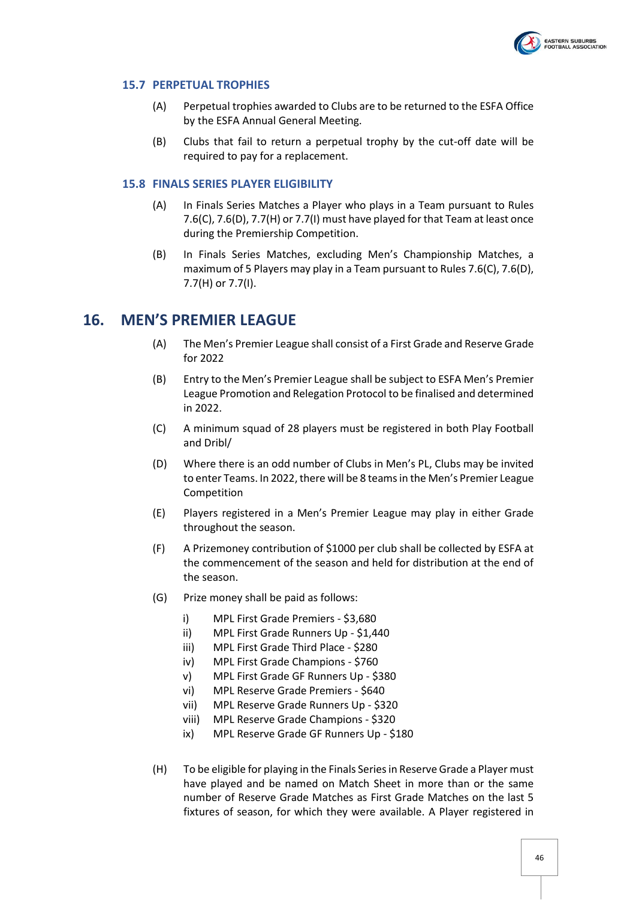

#### <span id="page-45-0"></span>**15.7 PERPETUAL TROPHIES**

- (A) Perpetual trophies awarded to Clubs are to be returned to the ESFA Office by the ESFA Annual General Meeting.
- (B) Clubs that fail to return a perpetual trophy by the cut-off date will be required to pay for a replacement.

#### <span id="page-45-1"></span>**15.8 FINALS SERIES PLAYER ELIGIBILITY**

- (A) In Finals Series Matches a Player who plays in a Team pursuant to Rules [7.6\(C\),](#page-21-3) [7.6\(D\),](#page-21-4) [7.7\(H\)](#page-22-2) o[r 7.7\(I\)](#page-22-3) must have played for that Team at least once during the Premiership Competition.
- (B) In Finals Series Matches, excluding Men's Championship Matches, a maximum of 5 Players may play in a Team pursuant to Rule[s 7.6\(C\),](#page-21-3) [7.6\(D\),](#page-21-4) [7.7\(H\)](#page-22-2) or [7.7\(I\).](#page-22-3)

### <span id="page-45-2"></span>**16. MEN'S PREMIER LEAGUE**

- (A) The Men's Premier League shall consist of a First Grade and Reserve Grade for 2022
- (B) Entry to the Men's Premier League shall be subject to ESFA Men's Premier League Promotion and Relegation Protocol to be finalised and determined in 2022.
- (C) A minimum squad of 28 players must be registered in both Play Football and Dribl/
- (D) Where there is an odd number of Clubs in Men's PL, Clubs may be invited to enter Teams. In 2022, there will be 8 teams in the Men's Premier League Competition
- (E) Players registered in a Men's Premier League may play in either Grade throughout the season.
- (F) A Prizemoney contribution of \$1000 per club shall be collected by ESFA at the commencement of the season and held for distribution at the end of the season.
- (G) Prize money shall be paid as follows:
	- i) MPL First Grade Premiers \$3,680
	- ii) MPL First Grade Runners Up \$1,440
	- iii) MPL First Grade Third Place \$280
	- iv) MPL First Grade Champions \$760
	- v) MPL First Grade GF Runners Up \$380
	- vi) MPL Reserve Grade Premiers \$640
	- vii) MPL Reserve Grade Runners Up \$320
	- viii) MPL Reserve Grade Champions \$320
	- ix) MPL Reserve Grade GF Runners Up \$180
- (H) To be eligible for playing in the Finals Seriesin Reserve Grade a Player must have played and be named on Match Sheet in more than or the same number of Reserve Grade Matches as First Grade Matches on the last 5 fixtures of season, for which they were available. A Player registered in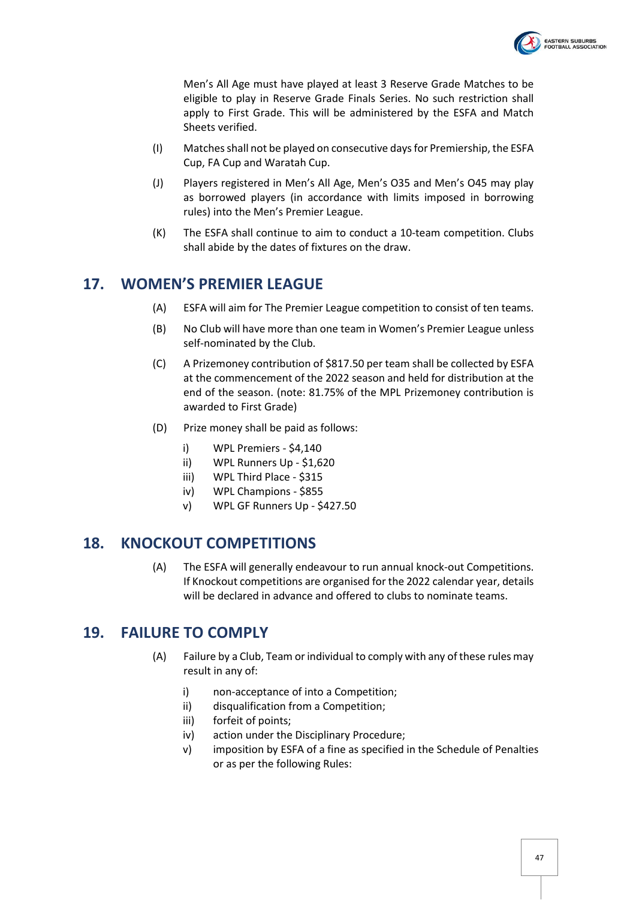

Men's All Age must have played at least 3 Reserve Grade Matches to be eligible to play in Reserve Grade Finals Series. No such restriction shall apply to First Grade. This will be administered by the ESFA and Match Sheets verified.

- (I) Matchesshall not be played on consecutive daysfor Premiership, the ESFA Cup, FA Cup and Waratah Cup.
- (J) Players registered in Men's All Age, Men's O35 and Men's O45 may play as borrowed players (in accordance with limits imposed in borrowing rules) into the Men's Premier League.
- (K) The ESFA shall continue to aim to conduct a 10-team competition. Clubs shall abide by the dates of fixtures on the draw.

# <span id="page-46-0"></span>**17. WOMEN'S PREMIER LEAGUE**

- (A) ESFA will aim for The Premier League competition to consist of ten teams.
- (B) No Club will have more than one team in Women's Premier League unless self-nominated by the Club.
- (C) A Prizemoney contribution of \$817.50 per team shall be collected by ESFA at the commencement of the 2022 season and held for distribution at the end of the season. (note: 81.75% of the MPL Prizemoney contribution is awarded to First Grade)
- (D) Prize money shall be paid as follows:
	- i) WPL Premiers \$4,140
	- ii) WPL Runners Up \$1,620
	- iii) WPL Third Place \$315
	- iv) WPL Champions \$855
	- v) WPL GF Runners Up \$427.50

# <span id="page-46-1"></span>**18. KNOCKOUT COMPETITIONS**

(A) The ESFA will generally endeavour to run annual knock-out Competitions. If Knockout competitions are organised for the 2022 calendar year, details will be declared in advance and offered to clubs to nominate teams.

# <span id="page-46-2"></span>**19. FAILURE TO COMPLY**

- (A) Failure by a Club, Team or individual to comply with any of these rules may result in any of:
	- i) non-acceptance of into a Competition;
	- ii) disqualification from a Competition;
	- iii) forfeit of points;
	- iv) action under the Disciplinary Procedure;
	- v) imposition by ESFA of a fine as specified in the Schedule of Penalties or as per the following Rules: